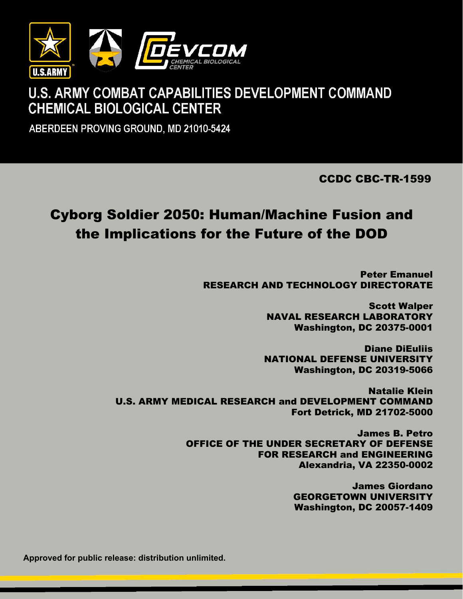

# **U.S. ARMY COMBAT CAPABILITIES DEVELOPMENT COMMAND CHEMICAL BIOLOGICAL CENTER**

ABERDEEN PROVING GROUND, MD 21010-5424

CCDC CBC-TR-1599

# Cyborg Soldier 2050: Human/Machine Fusion and the Implications for the Future of the DOD

Peter Emanuel RESEARCH AND TECHNOLOGY DIRECTORATE

> Scott Walper NAVAL RESEARCH LABORATORY Washington, DC 20375-0001

Diane DiEuliis NATIONAL DEFENSE UNIVERSITY Washington, DC 20319-5066

Natalie Klein U.S. ARMY MEDICAL RESEARCH and DEVELOPMENT COMMAND Fort Detrick, MD 21702-5000

> James B. Petro OFFICE OF THE UNDER SECRETARY OF DEFENSE FOR RESEARCH and ENGINEERING Alexandria, VA 22350-0002

> > James Giordano GEORGETOWN UNIVERSITY Washington, DC 20057-1409

**Approved for public release: distribution unlimited.**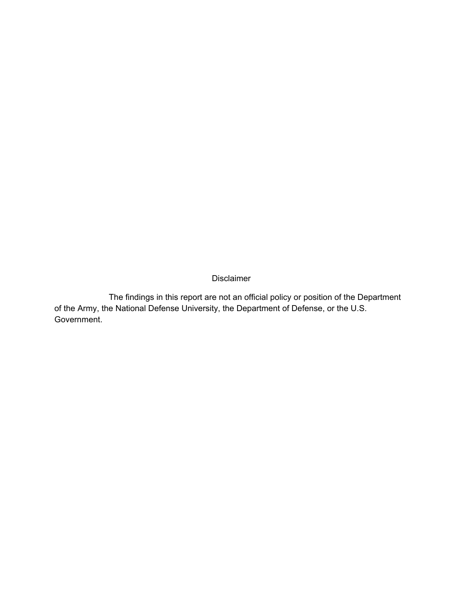Disclaimer

The findings in this report are not an official policy or position of the Department of the Army, the National Defense University, the Department of Defense, or the U.S. Government.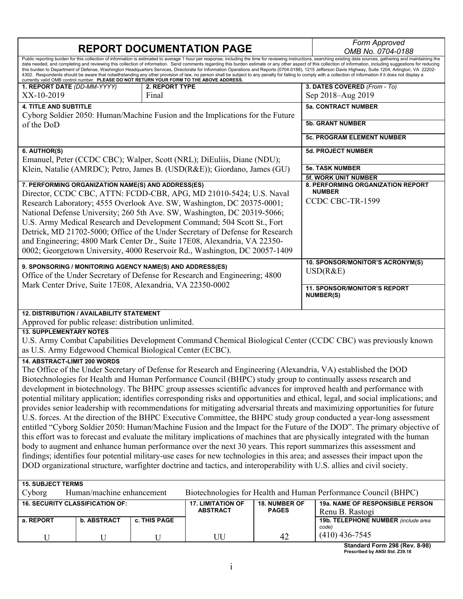|                                                                                                                                                                                                                                                                                                                                                                                                                                                                                                                                                                                                                                                                                                                                                                                                                                                                                                                                                                                                                                                                                                                                                                                                                                                                                                                                                                                                                                                         | <b>REPORT DOCUMENTATION PAGE</b> | Form Approved<br>OMB No. 0704-0188 |                                                                               |                               |                                                                                                              |  |  |
|---------------------------------------------------------------------------------------------------------------------------------------------------------------------------------------------------------------------------------------------------------------------------------------------------------------------------------------------------------------------------------------------------------------------------------------------------------------------------------------------------------------------------------------------------------------------------------------------------------------------------------------------------------------------------------------------------------------------------------------------------------------------------------------------------------------------------------------------------------------------------------------------------------------------------------------------------------------------------------------------------------------------------------------------------------------------------------------------------------------------------------------------------------------------------------------------------------------------------------------------------------------------------------------------------------------------------------------------------------------------------------------------------------------------------------------------------------|----------------------------------|------------------------------------|-------------------------------------------------------------------------------|-------------------------------|--------------------------------------------------------------------------------------------------------------|--|--|
| Public reporting burden for this collection of information is estimated to average 1 hour per response, including the time for reviewing instructions, searching existing data sources, gathering and maintaining the<br>data needed, and completing and reviewing this collection of information. Send comments regarding this burden estimate or any other aspect of this collection of information, including suggestions for reducing<br>this burden to Department of Defense, Washington Headquarters Services, Directorate for Information Operations and Reports (0704-0188), 1215 Jefferson Davis Highway, Suite 1204, Arlington, VA 22202-<br>4302. Respondents should be aware that notwithstanding any other provision of law, no person shall be subject to any penalty for failing to comply with a collection of information if it does not display a<br>currently valid OMB control number. PLEASE DO NOT RETURN YOUR FORM TO THE ABOVE ADDRESS.                                                                                                                                                                                                                                                                                                                                                                                                                                                                                         |                                  |                                    |                                                                               |                               |                                                                                                              |  |  |
| 1. REPORT DATE (DD-MM-YYYY)                                                                                                                                                                                                                                                                                                                                                                                                                                                                                                                                                                                                                                                                                                                                                                                                                                                                                                                                                                                                                                                                                                                                                                                                                                                                                                                                                                                                                             |                                  | 2. REPORT TYPE                     |                                                                               |                               | 3. DATES COVERED (From - To)                                                                                 |  |  |
| XX-10-2019                                                                                                                                                                                                                                                                                                                                                                                                                                                                                                                                                                                                                                                                                                                                                                                                                                                                                                                                                                                                                                                                                                                                                                                                                                                                                                                                                                                                                                              |                                  | Final                              |                                                                               |                               | Sep 2018-Aug 2019                                                                                            |  |  |
| <b>4. TITLE AND SUBTITLE</b>                                                                                                                                                                                                                                                                                                                                                                                                                                                                                                                                                                                                                                                                                                                                                                                                                                                                                                                                                                                                                                                                                                                                                                                                                                                                                                                                                                                                                            |                                  |                                    | Cyborg Soldier 2050: Human/Machine Fusion and the Implications for the Future |                               | <b>5a. CONTRACT NUMBER</b>                                                                                   |  |  |
| of the DoD                                                                                                                                                                                                                                                                                                                                                                                                                                                                                                                                                                                                                                                                                                                                                                                                                                                                                                                                                                                                                                                                                                                                                                                                                                                                                                                                                                                                                                              |                                  |                                    |                                                                               |                               | <b>5b. GRANT NUMBER</b><br><b>5c. PROGRAM ELEMENT NUMBER</b>                                                 |  |  |
|                                                                                                                                                                                                                                                                                                                                                                                                                                                                                                                                                                                                                                                                                                                                                                                                                                                                                                                                                                                                                                                                                                                                                                                                                                                                                                                                                                                                                                                         |                                  |                                    |                                                                               |                               |                                                                                                              |  |  |
| 6. AUTHOR(S)<br>Emanuel, Peter (CCDC CBC); Walper, Scott (NRL); DiEuliis, Diane (NDU);                                                                                                                                                                                                                                                                                                                                                                                                                                                                                                                                                                                                                                                                                                                                                                                                                                                                                                                                                                                                                                                                                                                                                                                                                                                                                                                                                                  |                                  |                                    |                                                                               |                               | 5d. PROJECT NUMBER                                                                                           |  |  |
|                                                                                                                                                                                                                                                                                                                                                                                                                                                                                                                                                                                                                                                                                                                                                                                                                                                                                                                                                                                                                                                                                                                                                                                                                                                                                                                                                                                                                                                         |                                  |                                    | Klein, Natalie (AMRDC); Petro, James B. (USD(R&E)); Giordano, James (GU)      |                               | <b>5e. TASK NUMBER</b>                                                                                       |  |  |
| <b>5f. WORK UNIT NUMBER</b><br>7. PERFORMING ORGANIZATION NAME(S) AND ADDRESS(ES)<br>8. PERFORMING ORGANIZATION REPORT<br><b>NUMBER</b><br>Director, CCDC CBC, ATTN: FCDD-CBR, APG, MD 21010-5424; U.S. Naval<br>CCDC CBC-TR-1599<br>Research Laboratory; 4555 Overlook Ave. SW, Washington, DC 20375-0001;<br>National Defense University; 260 5th Ave. SW, Washington, DC 20319-5066;<br>U.S. Army Medical Research and Development Command; 504 Scott St., Fort<br>Detrick, MD 21702-5000; Office of the Under Secretary of Defense for Research<br>and Engineering; 4800 Mark Center Dr., Suite 17E08, Alexandria, VA 22350-<br>0002; Georgetown University, 4000 Reservoir Rd., Washington, DC 20057-1409                                                                                                                                                                                                                                                                                                                                                                                                                                                                                                                                                                                                                                                                                                                                          |                                  |                                    |                                                                               |                               |                                                                                                              |  |  |
|                                                                                                                                                                                                                                                                                                                                                                                                                                                                                                                                                                                                                                                                                                                                                                                                                                                                                                                                                                                                                                                                                                                                                                                                                                                                                                                                                                                                                                                         |                                  |                                    |                                                                               |                               |                                                                                                              |  |  |
| 9. SPONSORING / MONITORING AGENCY NAME(S) AND ADDRESS(ES)<br>Office of the Under Secretary of Defense for Research and Engineering; 4800                                                                                                                                                                                                                                                                                                                                                                                                                                                                                                                                                                                                                                                                                                                                                                                                                                                                                                                                                                                                                                                                                                                                                                                                                                                                                                                |                                  |                                    |                                                                               |                               | 10. SPONSOR/MONITOR'S ACRONYM(S)<br>USD(R&E)                                                                 |  |  |
| Mark Center Drive, Suite 17E08, Alexandria, VA 22350-0002                                                                                                                                                                                                                                                                                                                                                                                                                                                                                                                                                                                                                                                                                                                                                                                                                                                                                                                                                                                                                                                                                                                                                                                                                                                                                                                                                                                               |                                  |                                    | 11. SPONSOR/MONITOR'S REPORT<br><b>NUMBER(S)</b>                              |                               |                                                                                                              |  |  |
| <b>12. DISTRIBUTION / AVAILABILITY STATEMENT</b>                                                                                                                                                                                                                                                                                                                                                                                                                                                                                                                                                                                                                                                                                                                                                                                                                                                                                                                                                                                                                                                                                                                                                                                                                                                                                                                                                                                                        |                                  |                                    |                                                                               |                               |                                                                                                              |  |  |
| Approved for public release: distribution unlimited.                                                                                                                                                                                                                                                                                                                                                                                                                                                                                                                                                                                                                                                                                                                                                                                                                                                                                                                                                                                                                                                                                                                                                                                                                                                                                                                                                                                                    |                                  |                                    |                                                                               |                               |                                                                                                              |  |  |
| <b>13. SUPPLEMENTARY NOTES</b>                                                                                                                                                                                                                                                                                                                                                                                                                                                                                                                                                                                                                                                                                                                                                                                                                                                                                                                                                                                                                                                                                                                                                                                                                                                                                                                                                                                                                          |                                  |                                    |                                                                               |                               | U.S. Army Combat Capabilities Development Command Chemical Biological Center (CCDC CBC) was previously known |  |  |
| as U.S. Army Edgewood Chemical Biological Center (ECBC).                                                                                                                                                                                                                                                                                                                                                                                                                                                                                                                                                                                                                                                                                                                                                                                                                                                                                                                                                                                                                                                                                                                                                                                                                                                                                                                                                                                                |                                  |                                    |                                                                               |                               |                                                                                                              |  |  |
| 14. ABSTRACT-LIMIT 200 WORDS<br>The Office of the Under Secretary of Defense for Research and Engineering (Alexandria, VA) established the DOD<br>Biotechnologies for Health and Human Performance Council (BHPC) study group to continually assess research and<br>development in biotechnology. The BHPC group assesses scientific advances for improved health and performance with<br>potential military application; identifies corresponding risks and opportunities and ethical, legal, and social implications; and<br>provides senior leadership with recommendations for mitigating adversarial threats and maximizing opportunities for future<br>U.S. forces. At the direction of the BHPC Executive Committee, the BHPC study group conducted a year-long assessment<br>entitled "Cyborg Soldier 2050: Human/Machine Fusion and the Impact for the Future of the DOD". The primary objective of<br>this effort was to forecast and evaluate the military implications of machines that are physically integrated with the human<br>body to augment and enhance human performance over the next 30 years. This report summarizes this assessment and<br>findings; identifies four potential military-use cases for new technologies in this area; and assesses their impact upon the<br>DOD organizational structure, warfighter doctrine and tactics, and interoperability with U.S. allies and civil society.<br><b>15. SUBJECT TERMS</b> |                                  |                                    |                                                                               |                               |                                                                                                              |  |  |
| Human/machine enhancement<br>Biotechnologies for Health and Human Performance Council (BHPC)<br>Cyborg                                                                                                                                                                                                                                                                                                                                                                                                                                                                                                                                                                                                                                                                                                                                                                                                                                                                                                                                                                                                                                                                                                                                                                                                                                                                                                                                                  |                                  |                                    |                                                                               |                               |                                                                                                              |  |  |
| <b>16. SECURITY CLASSIFICATION OF:</b>                                                                                                                                                                                                                                                                                                                                                                                                                                                                                                                                                                                                                                                                                                                                                                                                                                                                                                                                                                                                                                                                                                                                                                                                                                                                                                                                                                                                                  |                                  |                                    | <b>17. LIMITATION OF</b><br><b>ABSTRACT</b>                                   | 18. NUMBER OF<br><b>PAGES</b> | 19a. NAME OF RESPONSIBLE PERSON<br>Renu B. Rastogi                                                           |  |  |
| a. REPORT                                                                                                                                                                                                                                                                                                                                                                                                                                                                                                                                                                                                                                                                                                                                                                                                                                                                                                                                                                                                                                                                                                                                                                                                                                                                                                                                                                                                                                               | <b>b. ABSTRACT</b>               | c. THIS PAGE                       |                                                                               |                               | 19b. TELEPHONE NUMBER (include area<br>code)                                                                 |  |  |
| $\mathbf U$                                                                                                                                                                                                                                                                                                                                                                                                                                                                                                                                                                                                                                                                                                                                                                                                                                                                                                                                                                                                                                                                                                                                                                                                                                                                                                                                                                                                                                             | U                                | U                                  | UU                                                                            | 42                            | $(410)$ 436-7545                                                                                             |  |  |

| Standard Form 298 (Rev. 8-98)  |
|--------------------------------|
| Prescribed by ANSI Std. Z39.18 |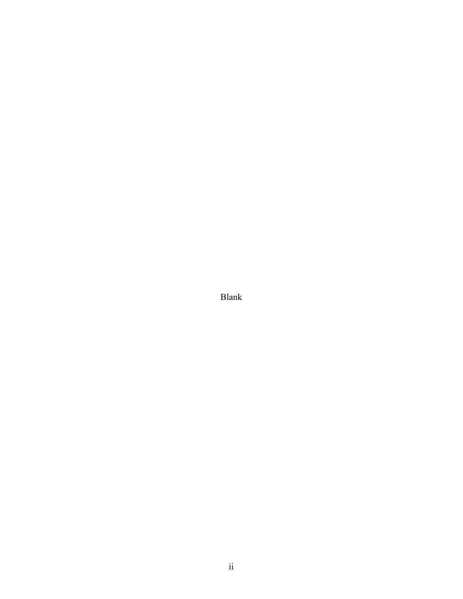$Blank$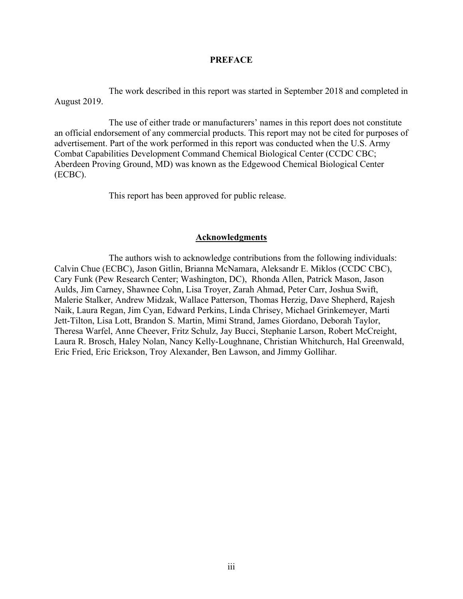#### **PREFACE**

 The work described in this report was started in September 2018 and completed in August 2019.

 The use of either trade or manufacturers' names in this report does not constitute an official endorsement of any commercial products. This report may not be cited for purposes of advertisement. Part of the work performed in this report was conducted when the U.S. Army Combat Capabilities Development Command Chemical Biological Center (CCDC CBC; Aberdeen Proving Ground, MD) was known as the Edgewood Chemical Biological Center (ECBC).

This report has been approved for public release.

#### **Acknowledgments**

The authors wish to acknowledge contributions from the following individuals: Calvin Chue (ECBC), Jason Gitlin, Brianna McNamara, Aleksandr E. Miklos (CCDC CBC), Cary Funk (Pew Research Center; Washington, DC), Rhonda Allen, Patrick Mason, Jason Aulds, Jim Carney, Shawnee Cohn, Lisa Troyer, Zarah Ahmad, Peter Carr, Joshua Swift, Malerie Stalker, Andrew Midzak, Wallace Patterson, Thomas Herzig, Dave Shepherd, Rajesh Naik, Laura Regan, Jim Cyan, Edward Perkins, Linda Chrisey, Michael Grinkemeyer, Marti Jett-Tilton, Lisa Lott, Brandon S. Martin, Mimi Strand, James Giordano, Deborah Taylor, Theresa Warfel, Anne Cheever, Fritz Schulz, Jay Bucci, Stephanie Larson, Robert McCreight, Laura R. Brosch, Haley Nolan, Nancy Kelly-Loughnane, Christian Whitchurch, Hal Greenwald, Eric Fried, Eric Erickson, Troy Alexander, Ben Lawson, and Jimmy Gollihar.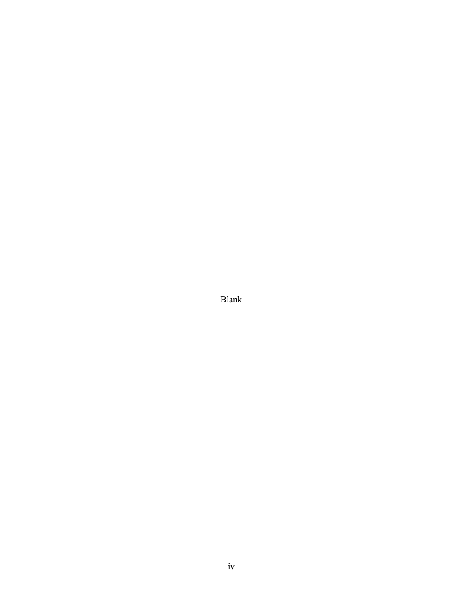Blank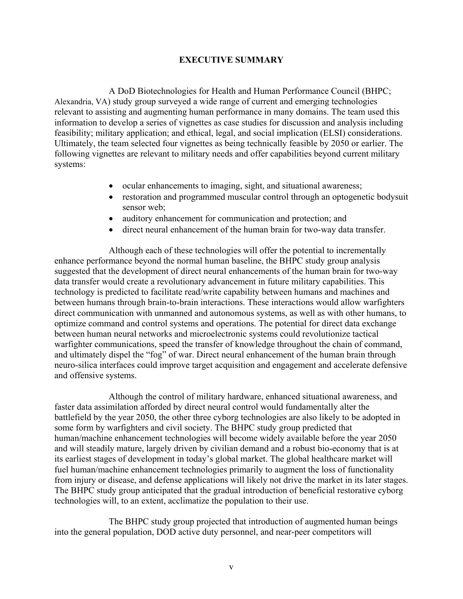## **EXECUTIVE SUMMARY**

 A DoD Biotechnologies for Health and Human Performance Council (BHPC; Alexandria, VA) study group surveyed a wide range of current and emerging technologies relevant to assisting and augmenting human performance in many domains. The team used this information to develop a series of vignettes as case studies for discussion and analysis including feasibility; military application; and ethical, legal, and social implication (ELSI) considerations. Ultimately, the team selected four vignettes as being technically feasible by 2050 or earlier. The following vignettes are relevant to military needs and offer capabilities beyond current military systems:

- ocular enhancements to imaging, sight, and situational awareness;
- restoration and programmed muscular control through an optogenetic bodysuit sensor web;
- auditory enhancement for communication and protection; and
- direct neural enhancement of the human brain for two-way data transfer.

 Although each of these technologies will offer the potential to incrementally enhance performance beyond the normal human baseline, the BHPC study group analysis suggested that the development of direct neural enhancements of the human brain for two-way data transfer would create a revolutionary advancement in future military capabilities. This technology is predicted to facilitate read/write capability between humans and machines and between humans through brain-to-brain interactions. These interactions would allow warfighters direct communication with unmanned and autonomous systems, as well as with other humans, to optimize command and control systems and operations. The potential for direct data exchange between human neural networks and microelectronic systems could revolutionize tactical warfighter communications, speed the transfer of knowledge throughout the chain of command, and ultimately dispel the "fog" of war. Direct neural enhancement of the human brain through neuro-silica interfaces could improve target acquisition and engagement and accelerate defensive and offensive systems.

 Although the control of military hardware, enhanced situational awareness, and faster data assimilation afforded by direct neural control would fundamentally alter the battlefield by the year 2050, the other three cyborg technologies are also likely to be adopted in some form by warfighters and civil society. The BHPC study group predicted that human/machine enhancement technologies will become widely available before the year 2050 and will steadily mature, largely driven by civilian demand and a robust bio-economy that is at its earliest stages of development in today's global market. The global healthcare market will fuel human/machine enhancement technologies primarily to augment the loss of functionality from injury or disease, and defense applications will likely not drive the market in its later stages. The BHPC study group anticipated that the gradual introduction of beneficial restorative cyborg technologies will, to an extent, acclimatize the population to their use.

 The BHPC study group projected that introduction of augmented human beings into the general population, DOD active duty personnel, and near-peer competitors will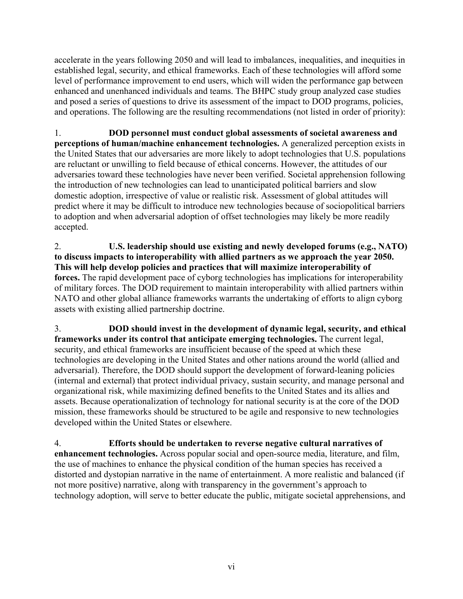accelerate in the years following 2050 and will lead to imbalances, inequalities, and inequities in established legal, security, and ethical frameworks. Each of these technologies will afford some level of performance improvement to end users, which will widen the performance gap between enhanced and unenhanced individuals and teams. The BHPC study group analyzed case studies and posed a series of questions to drive its assessment of the impact to DOD programs, policies, and operations. The following are the resulting recommendations (not listed in order of priority):

1. **DOD personnel must conduct global assessments of societal awareness and perceptions of human/machine enhancement technologies.** A generalized perception exists in the United States that our adversaries are more likely to adopt technologies that U.S. populations are reluctant or unwilling to field because of ethical concerns. However, the attitudes of our adversaries toward these technologies have never been verified. Societal apprehension following the introduction of new technologies can lead to unanticipated political barriers and slow domestic adoption, irrespective of value or realistic risk. Assessment of global attitudes will predict where it may be difficult to introduce new technologies because of sociopolitical barriers to adoption and when adversarial adoption of offset technologies may likely be more readily accepted.

2. **U.S. leadership should use existing and newly developed forums (e.g., NATO) to discuss impacts to interoperability with allied partners as we approach the year 2050. This will help develop policies and practices that will maximize interoperability of forces.** The rapid development pace of cyborg technologies has implications for interoperability of military forces. The DOD requirement to maintain interoperability with allied partners within NATO and other global alliance frameworks warrants the undertaking of efforts to align cyborg assets with existing allied partnership doctrine.

3. **DOD should invest in the development of dynamic legal, security, and ethical frameworks under its control that anticipate emerging technologies.** The current legal, security, and ethical frameworks are insufficient because of the speed at which these technologies are developing in the United States and other nations around the world (allied and adversarial). Therefore, the DOD should support the development of forward-leaning policies (internal and external) that protect individual privacy, sustain security, and manage personal and organizational risk, while maximizing defined benefits to the United States and its allies and assets. Because operationalization of technology for national security is at the core of the DOD mission, these frameworks should be structured to be agile and responsive to new technologies developed within the United States or elsewhere.

4. **Efforts should be undertaken to reverse negative cultural narratives of enhancement technologies.** Across popular social and open-source media, literature, and film, the use of machines to enhance the physical condition of the human species has received a distorted and dystopian narrative in the name of entertainment. A more realistic and balanced (if not more positive) narrative, along with transparency in the government's approach to technology adoption, will serve to better educate the public, mitigate societal apprehensions, and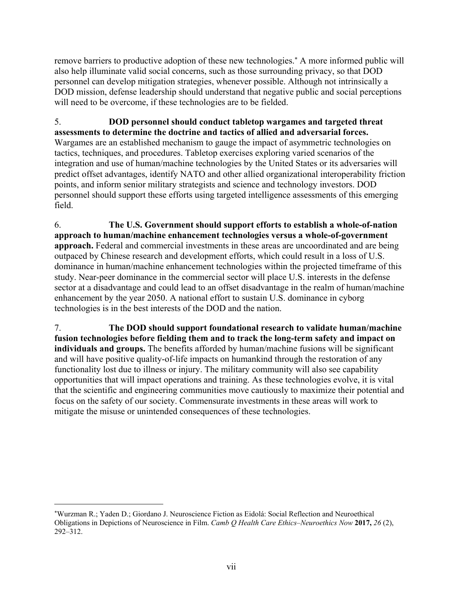remove barriers to productive adoption of these new technologies.<sup>\*</sup> A more informed public will also help illuminate valid social concerns, such as those surrounding privacy, so that DOD personnel can develop mitigation strategies, whenever possible. Although not intrinsically a DOD mission, defense leadership should understand that negative public and social perceptions will need to be overcome, if these technologies are to be fielded.

## 5. **DOD personnel should conduct tabletop wargames and targeted threat assessments to determine the doctrine and tactics of allied and adversarial forces.**  Wargames are an established mechanism to gauge the impact of asymmetric technologies on tactics, techniques, and procedures. Tabletop exercises exploring varied scenarios of the integration and use of human/machine technologies by the United States or its adversaries will predict offset advantages, identify NATO and other allied organizational interoperability friction points, and inform senior military strategists and science and technology investors. DOD personnel should support these efforts using targeted intelligence assessments of this emerging

field.

 $\overline{a}$ 

6. **The U.S. Government should support efforts to establish a whole-of-nation approach to human/machine enhancement technologies versus a whole-of-government approach.** Federal and commercial investments in these areas are uncoordinated and are being outpaced by Chinese research and development efforts, which could result in a loss of U.S. dominance in human/machine enhancement technologies within the projected timeframe of this study. Near-peer dominance in the commercial sector will place U.S. interests in the defense sector at a disadvantage and could lead to an offset disadvantage in the realm of human/machine enhancement by the year 2050. A national effort to sustain U.S. dominance in cyborg technologies is in the best interests of the DOD and the nation.

7. **The DOD should support foundational research to validate human/machine fusion technologies before fielding them and to track the long-term safety and impact on individuals and groups.** The benefits afforded by human/machine fusions will be significant and will have positive quality-of-life impacts on humankind through the restoration of any functionality lost due to illness or injury. The military community will also see capability opportunities that will impact operations and training. As these technologies evolve, it is vital that the scientific and engineering communities move cautiously to maximize their potential and focus on the safety of our society. Commensurate investments in these areas will work to mitigate the misuse or unintended consequences of these technologies.

Wurzman R.; Yaden D.; Giordano J. Neuroscience Fiction as Eidolá: Social Reflection and Neuroethical Obligations in Depictions of Neuroscience in Film. *Camb Q Health Care Ethics–Neuroethics Now* **2017,** *26* (2), 292–312.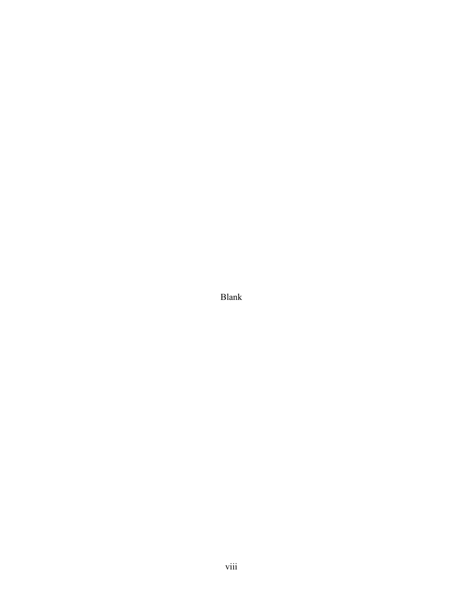Blank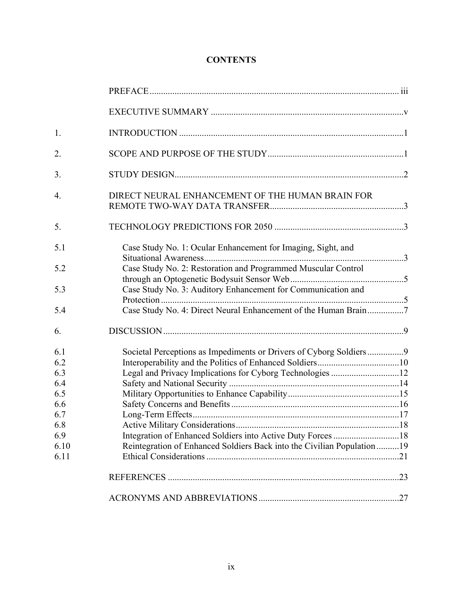## **CONTENTS**

| 1.   |                                                                          |  |
|------|--------------------------------------------------------------------------|--|
| 2.   |                                                                          |  |
| 3.   |                                                                          |  |
| 4.   | DIRECT NEURAL ENHANCEMENT OF THE HUMAN BRAIN FOR                         |  |
| 5.   |                                                                          |  |
| 5.1  | Case Study No. 1: Ocular Enhancement for Imaging, Sight, and             |  |
| 5.2  | Case Study No. 2: Restoration and Programmed Muscular Control            |  |
| 5.3  | Case Study No. 3: Auditory Enhancement for Communication and             |  |
| 5.4  | Case Study No. 4: Direct Neural Enhancement of the Human Brain7          |  |
| 6.   |                                                                          |  |
| 6.1  | Societal Perceptions as Impediments or Drivers of Cyborg Soldiers9       |  |
| 6.2  |                                                                          |  |
| 6.3  | Legal and Privacy Implications for Cyborg Technologies 12                |  |
| 6.4  |                                                                          |  |
| 6.5  |                                                                          |  |
| 6.6  |                                                                          |  |
| 6.7  |                                                                          |  |
| 6.8  |                                                                          |  |
| 6.9  | Integration of Enhanced Soldiers into Active Duty Forces 18              |  |
| 6.10 | Reintegration of Enhanced Soldiers Back into the Civilian Population  19 |  |
| 6.11 |                                                                          |  |
|      |                                                                          |  |
|      |                                                                          |  |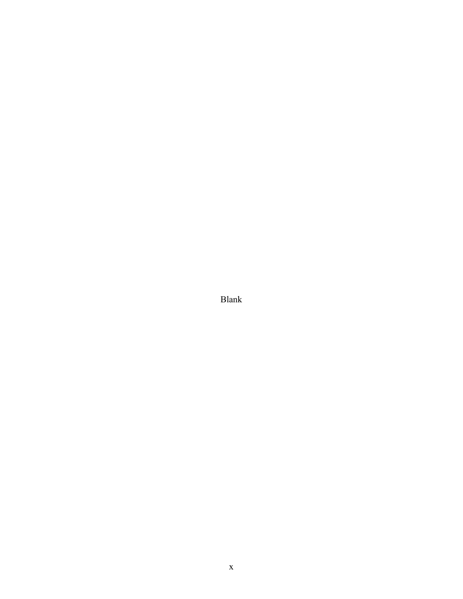Blank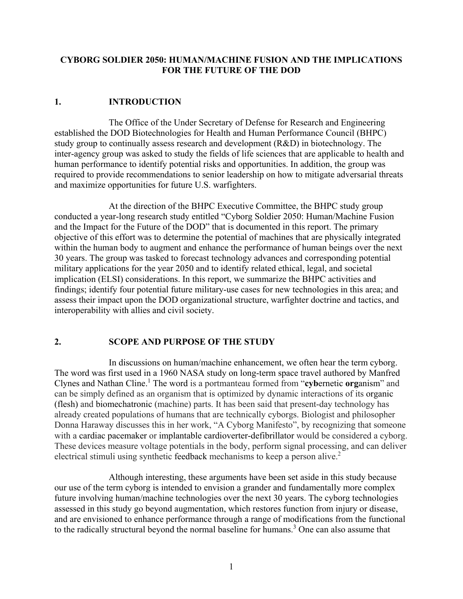## **CYBORG SOLDIER 2050: HUMAN/MACHINE FUSION AND THE IMPLICATIONS FOR THE FUTURE OF THE DOD**

## **1. INTRODUCTION**

 The Office of the Under Secretary of Defense for Research and Engineering established the DOD Biotechnologies for Health and Human Performance Council (BHPC) study group to continually assess research and development (R&D) in biotechnology. The inter-agency group was asked to study the fields of life sciences that are applicable to health and human performance to identify potential risks and opportunities. In addition, the group was required to provide recommendations to senior leadership on how to mitigate adversarial threats and maximize opportunities for future U.S. warfighters.

 At the direction of the BHPC Executive Committee, the BHPC study group conducted a year-long research study entitled "Cyborg Soldier 2050: Human/Machine Fusion and the Impact for the Future of the DOD" that is documented in this report. The primary objective of this effort was to determine the potential of machines that are physically integrated within the human body to augment and enhance the performance of human beings over the next 30 years. The group was tasked to forecast technology advances and corresponding potential military applications for the year 2050 and to identify related ethical, legal, and societal implication (ELSI) considerations. In this report, we summarize the BHPC activities and findings; identify four potential future military-use cases for new technologies in this area; and assess their impact upon the DOD organizational structure, warfighter doctrine and tactics, and interoperability with allies and civil society.

## **2. SCOPE AND PURPOSE OF THE STUDY**

 In discussions on human/machine enhancement, we often hear the term cyborg. The word was first used in a 1960 NASA study on long-term space travel authored by Manfred Clynes and Nathan Cline.1 The word is a portmanteau formed from "**cyb**ernetic **org**anism" and can be simply defined as an organism that is optimized by dynamic interactions of its organic (flesh) and biomechatronic (machine) parts. It has been said that present-day technology has already created populations of humans that are technically cyborgs. Biologist and philosopher Donna Haraway discusses this in her work, "A Cyborg Manifesto", by recognizing that someone with a cardiac pacemaker or implantable cardioverter-defibrillator would be considered a cyborg. These devices measure voltage potentials in the body, perform signal processing, and can deliver electrical stimuli using synthetic feedback mechanisms to keep a person alive.<sup>2</sup>

 Although interesting, these arguments have been set aside in this study because our use of the term cyborg is intended to envision a grander and fundamentally more complex future involving human/machine technologies over the next 30 years. The cyborg technologies assessed in this study go beyond augmentation, which restores function from injury or disease, and are envisioned to enhance performance through a range of modifications from the functional to the radically structural beyond the normal baseline for humans.<sup>3</sup> One can also assume that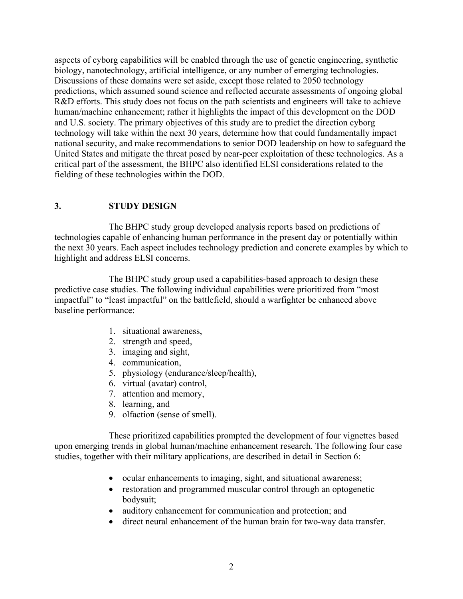aspects of cyborg capabilities will be enabled through the use of genetic engineering, synthetic biology, nanotechnology, artificial intelligence, or any number of emerging technologies. Discussions of these domains were set aside, except those related to 2050 technology predictions, which assumed sound science and reflected accurate assessments of ongoing global R&D efforts. This study does not focus on the path scientists and engineers will take to achieve human/machine enhancement; rather it highlights the impact of this development on the DOD and U.S. society. The primary objectives of this study are to predict the direction cyborg technology will take within the next 30 years, determine how that could fundamentally impact national security, and make recommendations to senior DOD leadership on how to safeguard the United States and mitigate the threat posed by near-peer exploitation of these technologies. As a critical part of the assessment, the BHPC also identified ELSI considerations related to the fielding of these technologies within the DOD.

## **3. STUDY DESIGN**

 The BHPC study group developed analysis reports based on predictions of technologies capable of enhancing human performance in the present day or potentially within the next 30 years. Each aspect includes technology prediction and concrete examples by which to highlight and address ELSI concerns.

 The BHPC study group used a capabilities-based approach to design these predictive case studies. The following individual capabilities were prioritized from "most impactful" to "least impactful" on the battlefield, should a warfighter be enhanced above baseline performance:

- 1. situational awareness,
- 2. strength and speed,
- 3. imaging and sight,
- 4. communication,
- 5. physiology (endurance/sleep/health),
- 6. virtual (avatar) control,
- 7. attention and memory,
- 8. learning, and
- 9. olfaction (sense of smell).

 These prioritized capabilities prompted the development of four vignettes based upon emerging trends in global human/machine enhancement research. The following four case studies, together with their military applications, are described in detail in Section 6:

- ocular enhancements to imaging, sight, and situational awareness;
- restoration and programmed muscular control through an optogenetic bodysuit;
- auditory enhancement for communication and protection; and
- direct neural enhancement of the human brain for two-way data transfer.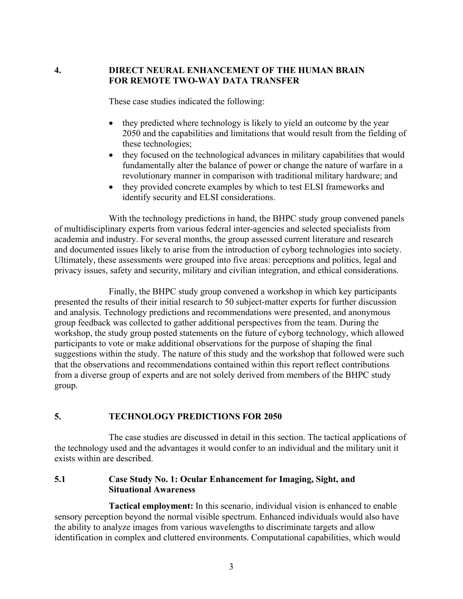## **4. DIRECT NEURAL ENHANCEMENT OF THE HUMAN BRAIN FOR REMOTE TWO-WAY DATA TRANSFER**

These case studies indicated the following:

- they predicted where technology is likely to yield an outcome by the year 2050 and the capabilities and limitations that would result from the fielding of these technologies;
- they focused on the technological advances in military capabilities that would fundamentally alter the balance of power or change the nature of warfare in a revolutionary manner in comparison with traditional military hardware; and
- they provided concrete examples by which to test ELSI frameworks and identify security and ELSI considerations.

 With the technology predictions in hand, the BHPC study group convened panels of multidisciplinary experts from various federal inter-agencies and selected specialists from academia and industry. For several months, the group assessed current literature and research and documented issues likely to arise from the introduction of cyborg technologies into society. Ultimately, these assessments were grouped into five areas: perceptions and politics, legal and privacy issues, safety and security, military and civilian integration, and ethical considerations.

 Finally, the BHPC study group convened a workshop in which key participants presented the results of their initial research to 50 subject-matter experts for further discussion and analysis. Technology predictions and recommendations were presented, and anonymous group feedback was collected to gather additional perspectives from the team. During the workshop, the study group posted statements on the future of cyborg technology, which allowed participants to vote or make additional observations for the purpose of shaping the final suggestions within the study. The nature of this study and the workshop that followed were such that the observations and recommendations contained within this report reflect contributions from a diverse group of experts and are not solely derived from members of the BHPC study group.

## **5. TECHNOLOGY PREDICTIONS FOR 2050**

 The case studies are discussed in detail in this section. The tactical applications of the technology used and the advantages it would confer to an individual and the military unit it exists within are described.

## **5.1 Case Study No. 1: Ocular Enhancement for Imaging, Sight, and Situational Awareness**

**Tactical employment:** In this scenario, individual vision is enhanced to enable sensory perception beyond the normal visible spectrum. Enhanced individuals would also have the ability to analyze images from various wavelengths to discriminate targets and allow identification in complex and cluttered environments. Computational capabilities, which would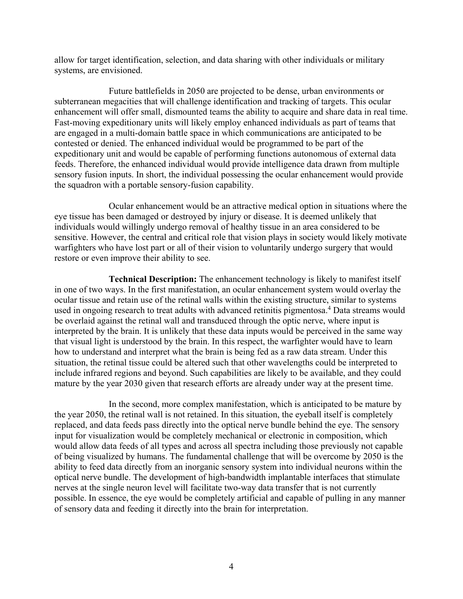allow for target identification, selection, and data sharing with other individuals or military systems, are envisioned.

 Future battlefields in 2050 are projected to be dense, urban environments or subterranean megacities that will challenge identification and tracking of targets. This ocular enhancement will offer small, dismounted teams the ability to acquire and share data in real time. Fast-moving expeditionary units will likely employ enhanced individuals as part of teams that are engaged in a multi-domain battle space in which communications are anticipated to be contested or denied. The enhanced individual would be programmed to be part of the expeditionary unit and would be capable of performing functions autonomous of external data feeds. Therefore, the enhanced individual would provide intelligence data drawn from multiple sensory fusion inputs. In short, the individual possessing the ocular enhancement would provide the squadron with a portable sensory-fusion capability.

 Ocular enhancement would be an attractive medical option in situations where the eye tissue has been damaged or destroyed by injury or disease. It is deemed unlikely that individuals would willingly undergo removal of healthy tissue in an area considered to be sensitive. However, the central and critical role that vision plays in society would likely motivate warfighters who have lost part or all of their vision to voluntarily undergo surgery that would restore or even improve their ability to see.

**Technical Description:** The enhancement technology is likely to manifest itself in one of two ways. In the first manifestation, an ocular enhancement system would overlay the ocular tissue and retain use of the retinal walls within the existing structure, similar to systems used in ongoing research to treat adults with advanced retinitis pigmentosa.<sup>4</sup> Data streams would be overlaid against the retinal wall and transduced through the optic nerve, where input is interpreted by the brain. It is unlikely that these data inputs would be perceived in the same way that visual light is understood by the brain. In this respect, the warfighter would have to learn how to understand and interpret what the brain is being fed as a raw data stream. Under this situation, the retinal tissue could be altered such that other wavelengths could be interpreted to include infrared regions and beyond. Such capabilities are likely to be available, and they could mature by the year 2030 given that research efforts are already under way at the present time.

 In the second, more complex manifestation, which is anticipated to be mature by the year 2050, the retinal wall is not retained. In this situation, the eyeball itself is completely replaced, and data feeds pass directly into the optical nerve bundle behind the eye. The sensory input for visualization would be completely mechanical or electronic in composition, which would allow data feeds of all types and across all spectra including those previously not capable of being visualized by humans. The fundamental challenge that will be overcome by 2050 is the ability to feed data directly from an inorganic sensory system into individual neurons within the optical nerve bundle. The development of high-bandwidth implantable interfaces that stimulate nerves at the single neuron level will facilitate two-way data transfer that is not currently possible. In essence, the eye would be completely artificial and capable of pulling in any manner of sensory data and feeding it directly into the brain for interpretation.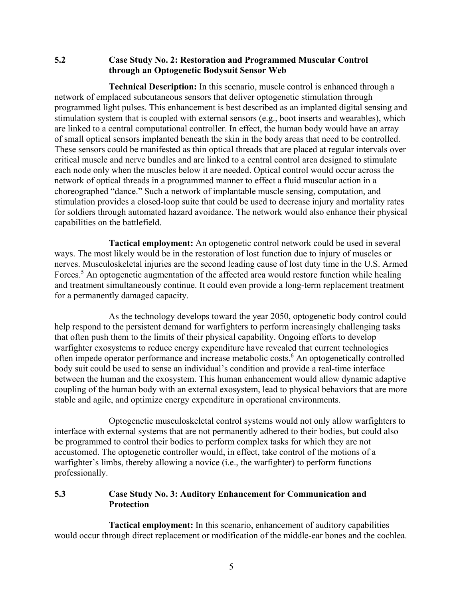#### **5.2 Case Study No. 2: Restoration and Programmed Muscular Control through an Optogenetic Bodysuit Sensor Web**

**Technical Description:** In this scenario, muscle control is enhanced through a network of emplaced subcutaneous sensors that deliver optogenetic stimulation through programmed light pulses. This enhancement is best described as an implanted digital sensing and stimulation system that is coupled with external sensors (e.g., boot inserts and wearables), which are linked to a central computational controller. In effect, the human body would have an array of small optical sensors implanted beneath the skin in the body areas that need to be controlled. These sensors could be manifested as thin optical threads that are placed at regular intervals over critical muscle and nerve bundles and are linked to a central control area designed to stimulate each node only when the muscles below it are needed. Optical control would occur across the network of optical threads in a programmed manner to effect a fluid muscular action in a choreographed "dance." Such a network of implantable muscle sensing, computation, and stimulation provides a closed-loop suite that could be used to decrease injury and mortality rates for soldiers through automated hazard avoidance. The network would also enhance their physical capabilities on the battlefield.

**Tactical employment:** An optogenetic control network could be used in several ways. The most likely would be in the restoration of lost function due to injury of muscles or nerves. Musculoskeletal injuries are the second leading cause of lost duty time in the U.S. Armed Forces.<sup>5</sup> An optogenetic augmentation of the affected area would restore function while healing and treatment simultaneously continue. It could even provide a long-term replacement treatment for a permanently damaged capacity.

 As the technology develops toward the year 2050, optogenetic body control could help respond to the persistent demand for warfighters to perform increasingly challenging tasks that often push them to the limits of their physical capability. Ongoing efforts to develop warfighter exosystems to reduce energy expenditure have revealed that current technologies often impede operator performance and increase metabolic costs.<sup>6</sup> An optogenetically controlled body suit could be used to sense an individual's condition and provide a real-time interface between the human and the exosystem. This human enhancement would allow dynamic adaptive coupling of the human body with an external exosystem, lead to physical behaviors that are more stable and agile, and optimize energy expenditure in operational environments.

 Optogenetic musculoskeletal control systems would not only allow warfighters to interface with external systems that are not permanently adhered to their bodies, but could also be programmed to control their bodies to perform complex tasks for which they are not accustomed. The optogenetic controller would, in effect, take control of the motions of a warfighter's limbs, thereby allowing a novice (i.e., the warfighter) to perform functions professionally.

## **5.3 Case Study No. 3: Auditory Enhancement for Communication and Protection**

**Tactical employment:** In this scenario, enhancement of auditory capabilities would occur through direct replacement or modification of the middle-ear bones and the cochlea.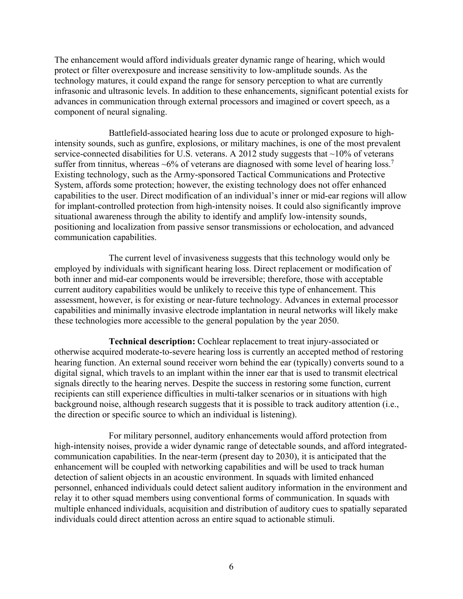The enhancement would afford individuals greater dynamic range of hearing, which would protect or filter overexposure and increase sensitivity to low-amplitude sounds. As the technology matures, it could expand the range for sensory perception to what are currently infrasonic and ultrasonic levels. In addition to these enhancements, significant potential exists for advances in communication through external processors and imagined or covert speech, as a component of neural signaling.

 Battlefield-associated hearing loss due to acute or prolonged exposure to highintensity sounds, such as gunfire, explosions, or military machines, is one of the most prevalent service-connected disabilities for U.S. veterans. A 2012 study suggests that  $\sim$ 10% of veterans suffer from tinnitus, whereas  $\sim 6\%$  of veterans are diagnosed with some level of hearing loss.<sup>7</sup> Existing technology, such as the Army-sponsored Tactical Communications and Protective System, affords some protection; however, the existing technology does not offer enhanced capabilities to the user. Direct modification of an individual's inner or mid-ear regions will allow for implant-controlled protection from high-intensity noises. It could also significantly improve situational awareness through the ability to identify and amplify low-intensity sounds, positioning and localization from passive sensor transmissions or echolocation, and advanced communication capabilities.

 The current level of invasiveness suggests that this technology would only be employed by individuals with significant hearing loss. Direct replacement or modification of both inner and mid-ear components would be irreversible; therefore, those with acceptable current auditory capabilities would be unlikely to receive this type of enhancement. This assessment, however, is for existing or near-future technology. Advances in external processor capabilities and minimally invasive electrode implantation in neural networks will likely make these technologies more accessible to the general population by the year 2050.

**Technical description:** Cochlear replacement to treat injury-associated or otherwise acquired moderate-to-severe hearing loss is currently an accepted method of restoring hearing function. An external sound receiver worn behind the ear (typically) converts sound to a digital signal, which travels to an implant within the inner ear that is used to transmit electrical signals directly to the hearing nerves. Despite the success in restoring some function, current recipients can still experience difficulties in multi-talker scenarios or in situations with high background noise, although research suggests that it is possible to track auditory attention (i.e., the direction or specific source to which an individual is listening).

 For military personnel, auditory enhancements would afford protection from high-intensity noises, provide a wider dynamic range of detectable sounds, and afford integratedcommunication capabilities. In the near-term (present day to 2030), it is anticipated that the enhancement will be coupled with networking capabilities and will be used to track human detection of salient objects in an acoustic environment. In squads with limited enhanced personnel, enhanced individuals could detect salient auditory information in the environment and relay it to other squad members using conventional forms of communication. In squads with multiple enhanced individuals, acquisition and distribution of auditory cues to spatially separated individuals could direct attention across an entire squad to actionable stimuli.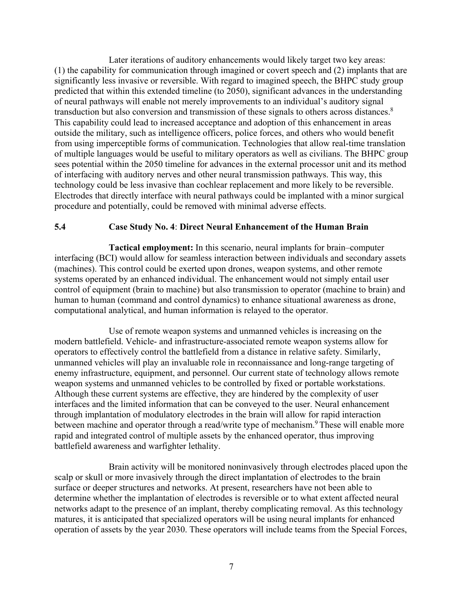Later iterations of auditory enhancements would likely target two key areas: (1) the capability for communication through imagined or covert speech and (2) implants that are significantly less invasive or reversible. With regard to imagined speech, the BHPC study group predicted that within this extended timeline (to 2050), significant advances in the understanding of neural pathways will enable not merely improvements to an individual's auditory signal transduction but also conversion and transmission of these signals to others across distances.8 This capability could lead to increased acceptance and adoption of this enhancement in areas outside the military, such as intelligence officers, police forces, and others who would benefit from using imperceptible forms of communication. Technologies that allow real-time translation of multiple languages would be useful to military operators as well as civilians. The BHPC group sees potential within the 2050 timeline for advances in the external processor unit and its method of interfacing with auditory nerves and other neural transmission pathways. This way, this technology could be less invasive than cochlear replacement and more likely to be reversible. Electrodes that directly interface with neural pathways could be implanted with a minor surgical procedure and potentially, could be removed with minimal adverse effects.

## **5.4 Case Study No. 4**: **Direct Neural Enhancement of the Human Brain**

**Tactical employment:** In this scenario, neural implants for brain–computer interfacing (BCI) would allow for seamless interaction between individuals and secondary assets (machines). This control could be exerted upon drones, weapon systems, and other remote systems operated by an enhanced individual. The enhancement would not simply entail user control of equipment (brain to machine) but also transmission to operator (machine to brain) and human to human (command and control dynamics) to enhance situational awareness as drone, computational analytical, and human information is relayed to the operator.

 Use of remote weapon systems and unmanned vehicles is increasing on the modern battlefield. Vehicle- and infrastructure-associated remote weapon systems allow for operators to effectively control the battlefield from a distance in relative safety. Similarly, unmanned vehicles will play an invaluable role in reconnaissance and long-range targeting of enemy infrastructure, equipment, and personnel. Our current state of technology allows remote weapon systems and unmanned vehicles to be controlled by fixed or portable workstations. Although these current systems are effective, they are hindered by the complexity of user interfaces and the limited information that can be conveyed to the user. Neural enhancement through implantation of modulatory electrodes in the brain will allow for rapid interaction between machine and operator through a read/write type of mechanism.<sup>9</sup> These will enable more rapid and integrated control of multiple assets by the enhanced operator, thus improving battlefield awareness and warfighter lethality.

 Brain activity will be monitored noninvasively through electrodes placed upon the scalp or skull or more invasively through the direct implantation of electrodes to the brain surface or deeper structures and networks. At present, researchers have not been able to determine whether the implantation of electrodes is reversible or to what extent affected neural networks adapt to the presence of an implant, thereby complicating removal. As this technology matures, it is anticipated that specialized operators will be using neural implants for enhanced operation of assets by the year 2030. These operators will include teams from the Special Forces,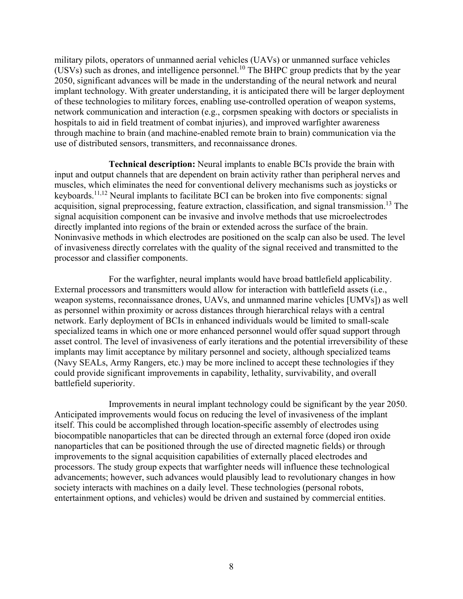military pilots, operators of unmanned aerial vehicles (UAVs) or unmanned surface vehicles (USVs) such as drones, and intelligence personnel.10 The BHPC group predicts that by the year 2050, significant advances will be made in the understanding of the neural network and neural implant technology. With greater understanding, it is anticipated there will be larger deployment of these technologies to military forces, enabling use-controlled operation of weapon systems, network communication and interaction (e.g., corpsmen speaking with doctors or specialists in hospitals to aid in field treatment of combat injuries), and improved warfighter awareness through machine to brain (and machine-enabled remote brain to brain) communication via the use of distributed sensors, transmitters, and reconnaissance drones.

**Technical description:** Neural implants to enable BCIs provide the brain with input and output channels that are dependent on brain activity rather than peripheral nerves and muscles, which eliminates the need for conventional delivery mechanisms such as joysticks or keyboards.11,12 Neural implants to facilitate BCI can be broken into five components: signal acquisition, signal preprocessing, feature extraction, classification, and signal transmission.<sup>13</sup> The signal acquisition component can be invasive and involve methods that use microelectrodes directly implanted into regions of the brain or extended across the surface of the brain. Noninvasive methods in which electrodes are positioned on the scalp can also be used. The level of invasiveness directly correlates with the quality of the signal received and transmitted to the processor and classifier components.

 For the warfighter, neural implants would have broad battlefield applicability. External processors and transmitters would allow for interaction with battlefield assets (i.e., weapon systems, reconnaissance drones, UAVs, and unmanned marine vehicles [UMVs]) as well as personnel within proximity or across distances through hierarchical relays with a central network. Early deployment of BCIs in enhanced individuals would be limited to small-scale specialized teams in which one or more enhanced personnel would offer squad support through asset control. The level of invasiveness of early iterations and the potential irreversibility of these implants may limit acceptance by military personnel and society, although specialized teams (Navy SEALs, Army Rangers, etc.) may be more inclined to accept these technologies if they could provide significant improvements in capability, lethality, survivability, and overall battlefield superiority.

 Improvements in neural implant technology could be significant by the year 2050. Anticipated improvements would focus on reducing the level of invasiveness of the implant itself. This could be accomplished through location-specific assembly of electrodes using biocompatible nanoparticles that can be directed through an external force (doped iron oxide nanoparticles that can be positioned through the use of directed magnetic fields) or through improvements to the signal acquisition capabilities of externally placed electrodes and processors. The study group expects that warfighter needs will influence these technological advancements; however, such advances would plausibly lead to revolutionary changes in how society interacts with machines on a daily level. These technologies (personal robots, entertainment options, and vehicles) would be driven and sustained by commercial entities.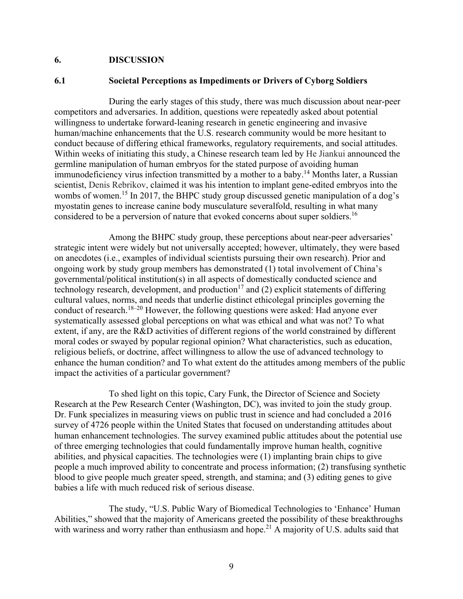#### **6. DISCUSSION**

## **6.1 Societal Perceptions as Impediments or Drivers of Cyborg Soldiers**

 During the early stages of this study, there was much discussion about near-peer competitors and adversaries. In addition, questions were repeatedly asked about potential willingness to undertake forward-leaning research in genetic engineering and invasive human/machine enhancements that the U.S. research community would be more hesitant to conduct because of differing ethical frameworks, regulatory requirements, and social attitudes. Within weeks of initiating this study, a Chinese research team led by He Jiankui announced the germline manipulation of human embryos for the stated purpose of avoiding human immunodeficiency virus infection transmitted by a mother to a baby.<sup>14</sup> Months later, a Russian scientist, Denis Rebrikov, claimed it was his intention to implant gene-edited embryos into the wombs of women.<sup>15</sup> In 2017, the BHPC study group discussed genetic manipulation of a dog's myostatin genes to increase canine body musculature severalfold, resulting in what many considered to be a perversion of nature that evoked concerns about super soldiers.<sup>16</sup>

 Among the BHPC study group, these perceptions about near-peer adversaries' strategic intent were widely but not universally accepted; however, ultimately, they were based on anecdotes (i.e., examples of individual scientists pursuing their own research). Prior and ongoing work by study group members has demonstrated (1) total involvement of China's governmental/political institution(s) in all aspects of domestically conducted science and technology research, development, and production<sup>17</sup> and (2) explicit statements of differing cultural values, norms, and needs that underlie distinct ethicolegal principles governing the conduct of research.<sup>18–20</sup> However, the following questions were asked: Had anyone ever systematically assessed global perceptions on what was ethical and what was not? To what extent, if any, are the R&D activities of different regions of the world constrained by different moral codes or swayed by popular regional opinion? What characteristics, such as education, religious beliefs, or doctrine, affect willingness to allow the use of advanced technology to enhance the human condition? and To what extent do the attitudes among members of the public impact the activities of a particular government?

 To shed light on this topic, Cary Funk, the Director of Science and Society Research at the Pew Research Center (Washington, DC), was invited to join the study group. Dr. Funk specializes in measuring views on public trust in science and had concluded a 2016 survey of 4726 people within the United States that focused on understanding attitudes about human enhancement technologies. The survey examined public attitudes about the potential use of three emerging technologies that could fundamentally improve human health, cognitive abilities, and physical capacities. The technologies were (1) implanting brain chips to give people a much improved ability to concentrate and process information; (2) transfusing synthetic blood to give people much greater speed, strength, and stamina; and (3) editing genes to give babies a life with much reduced risk of serious disease.

 The study, "U.S. Public Wary of Biomedical Technologies to 'Enhance' Human Abilities," showed that the majority of Americans greeted the possibility of these breakthroughs with wariness and worry rather than enthusiasm and hope.<sup>21</sup> A majority of U.S. adults said that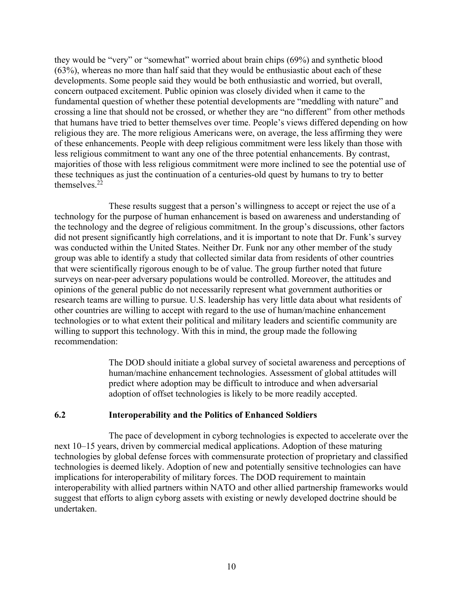they would be "very" or "somewhat" worried about brain chips (69%) and synthetic blood (63%), whereas no more than half said that they would be enthusiastic about each of these developments. Some people said they would be both enthusiastic and worried, but overall, concern outpaced excitement. Public opinion was closely divided when it came to the fundamental question of whether these potential developments are "meddling with nature" and crossing a line that should not be crossed, or whether they are "no different" from other methods that humans have tried to better themselves over time. People's views differed depending on how religious they are. The more religious Americans were, on average, the less affirming they were of these enhancements. People with deep religious commitment were less likely than those with less religious commitment to want any one of the three potential enhancements. By contrast, majorities of those with less religious commitment were more inclined to see the potential use of these techniques as just the continuation of a centuries-old quest by humans to try to better themselves.22

 These results suggest that a person's willingness to accept or reject the use of a technology for the purpose of human enhancement is based on awareness and understanding of the technology and the degree of religious commitment. In the group's discussions, other factors did not present significantly high correlations, and it is important to note that Dr. Funk's survey was conducted within the United States. Neither Dr. Funk nor any other member of the study group was able to identify a study that collected similar data from residents of other countries that were scientifically rigorous enough to be of value. The group further noted that future surveys on near-peer adversary populations would be controlled. Moreover, the attitudes and opinions of the general public do not necessarily represent what government authorities or research teams are willing to pursue. U.S. leadership has very little data about what residents of other countries are willing to accept with regard to the use of human/machine enhancement technologies or to what extent their political and military leaders and scientific community are willing to support this technology. With this in mind, the group made the following recommendation:

> The DOD should initiate a global survey of societal awareness and perceptions of human/machine enhancement technologies. Assessment of global attitudes will predict where adoption may be difficult to introduce and when adversarial adoption of offset technologies is likely to be more readily accepted.

## **6.2 Interoperability and the Politics of Enhanced Soldiers**

 The pace of development in cyborg technologies is expected to accelerate over the next 10–15 years, driven by commercial medical applications. Adoption of these maturing technologies by global defense forces with commensurate protection of proprietary and classified technologies is deemed likely. Adoption of new and potentially sensitive technologies can have implications for interoperability of military forces. The DOD requirement to maintain interoperability with allied partners within NATO and other allied partnership frameworks would suggest that efforts to align cyborg assets with existing or newly developed doctrine should be undertaken.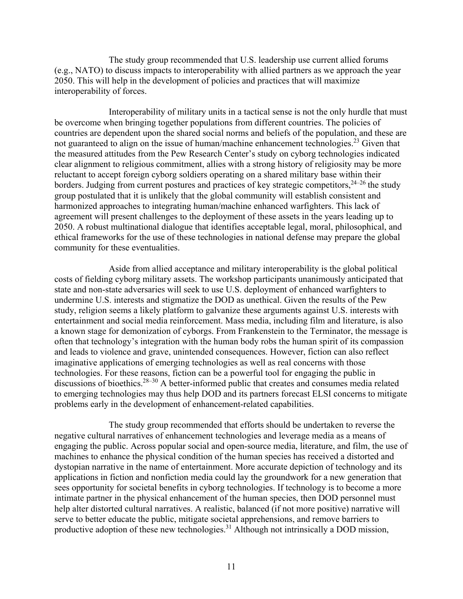The study group recommended that U.S. leadership use current allied forums (e.g., NATO) to discuss impacts to interoperability with allied partners as we approach the year 2050. This will help in the development of policies and practices that will maximize interoperability of forces.

 Interoperability of military units in a tactical sense is not the only hurdle that must be overcome when bringing together populations from different countries. The policies of countries are dependent upon the shared social norms and beliefs of the population, and these are not guaranteed to align on the issue of human/machine enhancement technologies.<sup>23</sup> Given that the measured attitudes from the Pew Research Center's study on cyborg technologies indicated clear alignment to religious commitment, allies with a strong history of religiosity may be more reluctant to accept foreign cyborg soldiers operating on a shared military base within their borders. Judging from current postures and practices of key strategic competitors,  $2^{4-26}$  the study group postulated that it is unlikely that the global community will establish consistent and harmonized approaches to integrating human/machine enhanced warfighters. This lack of agreement will present challenges to the deployment of these assets in the years leading up to 2050. A robust multinational dialogue that identifies acceptable legal, moral, philosophical, and ethical frameworks for the use of these technologies in national defense may prepare the global community for these eventualities.

 Aside from allied acceptance and military interoperability is the global political costs of fielding cyborg military assets. The workshop participants unanimously anticipated that state and non-state adversaries will seek to use U.S. deployment of enhanced warfighters to undermine U.S. interests and stigmatize the DOD as unethical. Given the results of the Pew study, religion seems a likely platform to galvanize these arguments against U.S. interests with entertainment and social media reinforcement. Mass media, including film and literature, is also a known stage for demonization of cyborgs. From Frankenstein to the Terminator, the message is often that technology's integration with the human body robs the human spirit of its compassion and leads to violence and grave, unintended consequences. However, fiction can also reflect imaginative applications of emerging technologies as well as real concerns with those technologies. For these reasons, fiction can be a powerful tool for engaging the public in discussions of bioethics.<sup>28–30</sup> A better-informed public that creates and consumes media related to emerging technologies may thus help DOD and its partners forecast ELSI concerns to mitigate problems early in the development of enhancement-related capabilities.

The study group recommended that efforts should be undertaken to reverse the negative cultural narratives of enhancement technologies and leverage media as a means of engaging the public. Across popular social and open-source media, literature, and film, the use of machines to enhance the physical condition of the human species has received a distorted and dystopian narrative in the name of entertainment. More accurate depiction of technology and its applications in fiction and nonfiction media could lay the groundwork for a new generation that sees opportunity for societal benefits in cyborg technologies. If technology is to become a more intimate partner in the physical enhancement of the human species, then DOD personnel must help alter distorted cultural narratives. A realistic, balanced (if not more positive) narrative will serve to better educate the public, mitigate societal apprehensions, and remove barriers to productive adoption of these new technologies.<sup>31</sup> Although not intrinsically a DOD mission,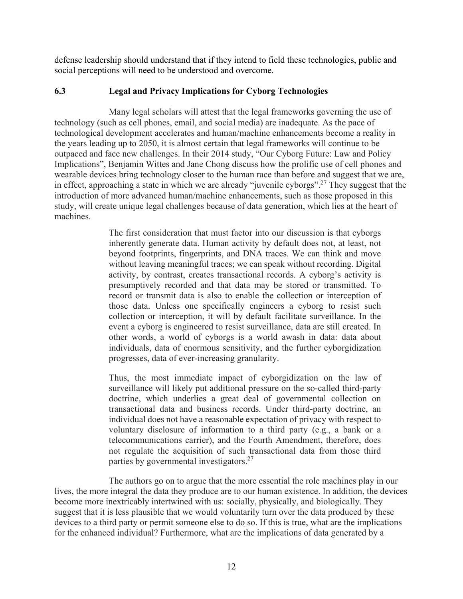defense leadership should understand that if they intend to field these technologies, public and social perceptions will need to be understood and overcome.

## **6.3 Legal and Privacy Implications for Cyborg Technologies**

 Many legal scholars will attest that the legal frameworks governing the use of technology (such as cell phones, email, and social media) are inadequate. As the pace of technological development accelerates and human/machine enhancements become a reality in the years leading up to 2050, it is almost certain that legal frameworks will continue to be outpaced and face new challenges. In their 2014 study, "Our Cyborg Future: Law and Policy Implications", Benjamin Wittes and Jane Chong discuss how the prolific use of cell phones and wearable devices bring technology closer to the human race than before and suggest that we are, in effect, approaching a state in which we are already "juvenile cyborgs".27 They suggest that the introduction of more advanced human/machine enhancements, such as those proposed in this study, will create unique legal challenges because of data generation, which lies at the heart of machines.

> The first consideration that must factor into our discussion is that cyborgs inherently generate data. Human activity by default does not, at least, not beyond footprints, fingerprints, and DNA traces. We can think and move without leaving meaningful traces; we can speak without recording. Digital activity, by contrast, creates transactional records. A cyborg's activity is presumptively recorded and that data may be stored or transmitted. To record or transmit data is also to enable the collection or interception of those data. Unless one specifically engineers a cyborg to resist such collection or interception, it will by default facilitate surveillance. In the event a cyborg is engineered to resist surveillance, data are still created. In other words, a world of cyborgs is a world awash in data: data about individuals, data of enormous sensitivity, and the further cyborgidization progresses, data of ever-increasing granularity.

> Thus, the most immediate impact of cyborgidization on the law of surveillance will likely put additional pressure on the so-called third-party doctrine, which underlies a great deal of governmental collection on transactional data and business records. Under third-party doctrine, an individual does not have a reasonable expectation of privacy with respect to voluntary disclosure of information to a third party (e.g., a bank or a telecommunications carrier), and the Fourth Amendment, therefore, does not regulate the acquisition of such transactional data from those third parties by governmental investigators.<sup>27</sup>

 The authors go on to argue that the more essential the role machines play in our lives, the more integral the data they produce are to our human existence. In addition, the devices become more inextricably intertwined with us: socially, physically, and biologically. They suggest that it is less plausible that we would voluntarily turn over the data produced by these devices to a third party or permit someone else to do so. If this is true, what are the implications for the enhanced individual? Furthermore, what are the implications of data generated by a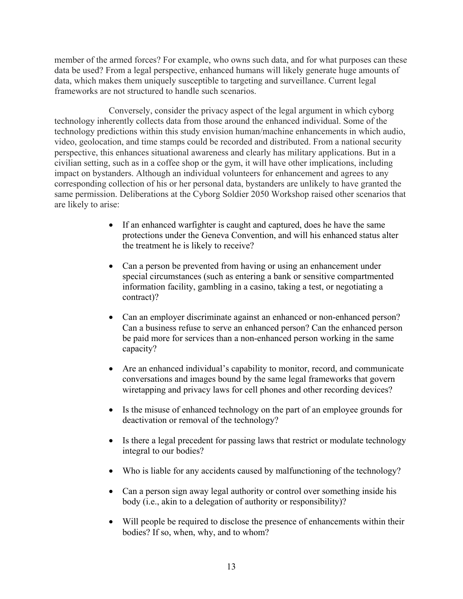member of the armed forces? For example, who owns such data, and for what purposes can these data be used? From a legal perspective, enhanced humans will likely generate huge amounts of data, which makes them uniquely susceptible to targeting and surveillance. Current legal frameworks are not structured to handle such scenarios.

 Conversely, consider the privacy aspect of the legal argument in which cyborg technology inherently collects data from those around the enhanced individual. Some of the technology predictions within this study envision human/machine enhancements in which audio, video, geolocation, and time stamps could be recorded and distributed. From a national security perspective, this enhances situational awareness and clearly has military applications. But in a civilian setting, such as in a coffee shop or the gym, it will have other implications, including impact on bystanders. Although an individual volunteers for enhancement and agrees to any corresponding collection of his or her personal data, bystanders are unlikely to have granted the same permission. Deliberations at the Cyborg Soldier 2050 Workshop raised other scenarios that are likely to arise:

- If an enhanced warfighter is caught and captured, does he have the same protections under the Geneva Convention, and will his enhanced status alter the treatment he is likely to receive?
- Can a person be prevented from having or using an enhancement under special circumstances (such as entering a bank or sensitive compartmented information facility, gambling in a casino, taking a test, or negotiating a contract)?
- Can an employer discriminate against an enhanced or non-enhanced person? Can a business refuse to serve an enhanced person? Can the enhanced person be paid more for services than a non-enhanced person working in the same capacity?
- Are an enhanced individual's capability to monitor, record, and communicate conversations and images bound by the same legal frameworks that govern wiretapping and privacy laws for cell phones and other recording devices?
- Is the misuse of enhanced technology on the part of an employee grounds for deactivation or removal of the technology?
- Is there a legal precedent for passing laws that restrict or modulate technology integral to our bodies?
- Who is liable for any accidents caused by malfunctioning of the technology?
- Can a person sign away legal authority or control over something inside his body (i.e., akin to a delegation of authority or responsibility)?
- Will people be required to disclose the presence of enhancements within their bodies? If so, when, why, and to whom?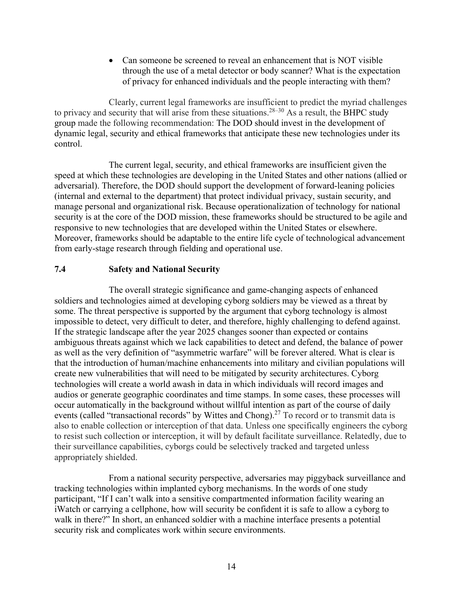Can someone be screened to reveal an enhancement that is NOT visible through the use of a metal detector or body scanner? What is the expectation of privacy for enhanced individuals and the people interacting with them?

 Clearly, current legal frameworks are insufficient to predict the myriad challenges to privacy and security that will arise from these situations.<sup>28–30</sup> As a result, the BHPC study group made the following recommendation: The DOD should invest in the development of dynamic legal, security and ethical frameworks that anticipate these new technologies under its control.

The current legal, security, and ethical frameworks are insufficient given the speed at which these technologies are developing in the United States and other nations (allied or adversarial). Therefore, the DOD should support the development of forward-leaning policies (internal and external to the department) that protect individual privacy, sustain security, and manage personal and organizational risk. Because operationalization of technology for national security is at the core of the DOD mission, these frameworks should be structured to be agile and responsive to new technologies that are developed within the United States or elsewhere. Moreover, frameworks should be adaptable to the entire life cycle of technological advancement from early-stage research through fielding and operational use.

## **7.4 Safety and National Security**

 The overall strategic significance and game-changing aspects of enhanced soldiers and technologies aimed at developing cyborg soldiers may be viewed as a threat by some. The threat perspective is supported by the argument that cyborg technology is almost impossible to detect, very difficult to deter, and therefore, highly challenging to defend against. If the strategic landscape after the year 2025 changes sooner than expected or contains ambiguous threats against which we lack capabilities to detect and defend, the balance of power as well as the very definition of "asymmetric warfare" will be forever altered. What is clear is that the introduction of human/machine enhancements into military and civilian populations will create new vulnerabilities that will need to be mitigated by security architectures. Cyborg technologies will create a world awash in data in which individuals will record images and audios or generate geographic coordinates and time stamps. In some cases, these processes will occur automatically in the background without willful intention as part of the course of daily events (called "transactional records" by Wittes and Chong).<sup>27</sup> To record or to transmit data is also to enable collection or interception of that data. Unless one specifically engineers the cyborg to resist such collection or interception, it will by default facilitate surveillance. Relatedly, due to their surveillance capabilities, cyborgs could be selectively tracked and targeted unless appropriately shielded.

 From a national security perspective, adversaries may piggyback surveillance and tracking technologies within implanted cyborg mechanisms. In the words of one study participant, "If I can't walk into a sensitive compartmented information facility wearing an iWatch or carrying a cellphone, how will security be confident it is safe to allow a cyborg to walk in there?" In short, an enhanced soldier with a machine interface presents a potential security risk and complicates work within secure environments.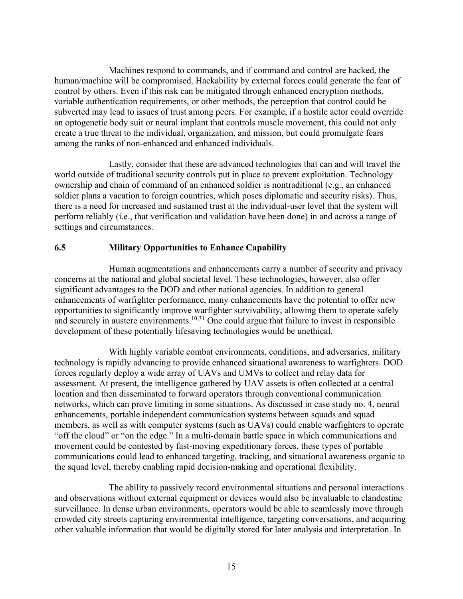Machines respond to commands, and if command and control are hacked, the human/machine will be compromised. Hackability by external forces could generate the fear of control by others. Even if this risk can be mitigated through enhanced encryption methods, variable authentication requirements, or other methods, the perception that control could be subverted may lead to issues of trust among peers. For example, if a hostile actor could override an optogenetic body suit or neural implant that controls muscle movement, this could not only create a true threat to the individual, organization, and mission, but could promulgate fears among the ranks of non-enhanced and enhanced individuals.

 Lastly, consider that these are advanced technologies that can and will travel the world outside of traditional security controls put in place to prevent exploitation. Technology ownership and chain of command of an enhanced soldier is nontraditional (e.g., an enhanced soldier plans a vacation to foreign countries, which poses diplomatic and security risks). Thus, there is a need for increased and sustained trust at the individual-user level that the system will perform reliably (i.e., that verification and validation have been done) in and across a range of settings and circumstances.

## **6.5 Military Opportunities to Enhance Capability**

 Human augmentations and enhancements carry a number of security and privacy concerns at the national and global societal level. These technologies, however, also offer significant advantages to the DOD and other national agencies. In addition to general enhancements of warfighter performance, many enhancements have the potential to offer new opportunities to significantly improve warfighter survivability, allowing them to operate safely and securely in austere environments.<sup>10,31</sup> One could argue that failure to invest in responsible development of these potentially lifesaving technologies would be unethical.

 With highly variable combat environments, conditions, and adversaries, military technology is rapidly advancing to provide enhanced situational awareness to warfighters. DOD forces regularly deploy a wide array of UAVs and UMVs to collect and relay data for assessment. At present, the intelligence gathered by UAV assets is often collected at a central location and then disseminated to forward operators through conventional communication networks, which can prove limiting in some situations. As discussed in case study no. 4, neural enhancements, portable independent communication systems between squads and squad members, as well as with computer systems (such as UAVs) could enable warfighters to operate "off the cloud" or "on the edge." In a multi-domain battle space in which communications and movement could be contested by fast-moving expeditionary forces, these types of portable communications could lead to enhanced targeting, tracking, and situational awareness organic to the squad level, thereby enabling rapid decision-making and operational flexibility.

 The ability to passively record environmental situations and personal interactions and observations without external equipment or devices would also be invaluable to clandestine surveillance. In dense urban environments, operators would be able to seamlessly move through crowded city streets capturing environmental intelligence, targeting conversations, and acquiring other valuable information that would be digitally stored for later analysis and interpretation. In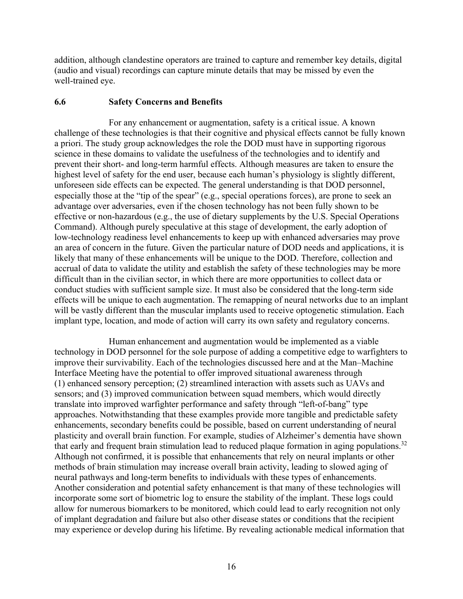addition, although clandestine operators are trained to capture and remember key details, digital (audio and visual) recordings can capture minute details that may be missed by even the well-trained eye.

#### **6.6 Safety Concerns and Benefits**

 For any enhancement or augmentation, safety is a critical issue. A known challenge of these technologies is that their cognitive and physical effects cannot be fully known a priori. The study group acknowledges the role the DOD must have in supporting rigorous science in these domains to validate the usefulness of the technologies and to identify and prevent their short- and long-term harmful effects. Although measures are taken to ensure the highest level of safety for the end user, because each human's physiology is slightly different, unforeseen side effects can be expected. The general understanding is that DOD personnel, especially those at the "tip of the spear" (e.g., special operations forces), are prone to seek an advantage over adversaries, even if the chosen technology has not been fully shown to be effective or non-hazardous (e.g., the use of dietary supplements by the U.S. Special Operations Command). Although purely speculative at this stage of development, the early adoption of low-technology readiness level enhancements to keep up with enhanced adversaries may prove an area of concern in the future. Given the particular nature of DOD needs and applications, it is likely that many of these enhancements will be unique to the DOD. Therefore, collection and accrual of data to validate the utility and establish the safety of these technologies may be more difficult than in the civilian sector, in which there are more opportunities to collect data or conduct studies with sufficient sample size. It must also be considered that the long-term side effects will be unique to each augmentation. The remapping of neural networks due to an implant will be vastly different than the muscular implants used to receive optogenetic stimulation. Each implant type, location, and mode of action will carry its own safety and regulatory concerns.

 Human enhancement and augmentation would be implemented as a viable technology in DOD personnel for the sole purpose of adding a competitive edge to warfighters to improve their survivability. Each of the technologies discussed here and at the Man–Machine Interface Meeting have the potential to offer improved situational awareness through (1) enhanced sensory perception; (2) streamlined interaction with assets such as UAVs and sensors; and (3) improved communication between squad members, which would directly translate into improved warfighter performance and safety through "left-of-bang" type approaches. Notwithstanding that these examples provide more tangible and predictable safety enhancements, secondary benefits could be possible, based on current understanding of neural plasticity and overall brain function. For example, studies of Alzheimer's dementia have shown that early and frequent brain stimulation lead to reduced plaque formation in aging populations.<sup>32</sup> Although not confirmed, it is possible that enhancements that rely on neural implants or other methods of brain stimulation may increase overall brain activity, leading to slowed aging of neural pathways and long-term benefits to individuals with these types of enhancements. Another consideration and potential safety enhancement is that many of these technologies will incorporate some sort of biometric log to ensure the stability of the implant. These logs could allow for numerous biomarkers to be monitored, which could lead to early recognition not only of implant degradation and failure but also other disease states or conditions that the recipient may experience or develop during his lifetime. By revealing actionable medical information that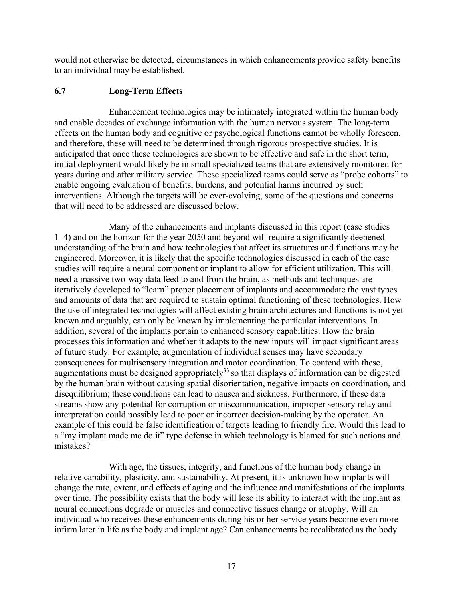would not otherwise be detected, circumstances in which enhancements provide safety benefits to an individual may be established.

## **6.7 Long-Term Effects**

 Enhancement technologies may be intimately integrated within the human body and enable decades of exchange information with the human nervous system. The long-term effects on the human body and cognitive or psychological functions cannot be wholly foreseen, and therefore, these will need to be determined through rigorous prospective studies. It is anticipated that once these technologies are shown to be effective and safe in the short term, initial deployment would likely be in small specialized teams that are extensively monitored for years during and after military service. These specialized teams could serve as "probe cohorts" to enable ongoing evaluation of benefits, burdens, and potential harms incurred by such interventions. Although the targets will be ever-evolving, some of the questions and concerns that will need to be addressed are discussed below.

 Many of the enhancements and implants discussed in this report (case studies 1–4) and on the horizon for the year 2050 and beyond will require a significantly deepened understanding of the brain and how technologies that affect its structures and functions may be engineered. Moreover, it is likely that the specific technologies discussed in each of the case studies will require a neural component or implant to allow for efficient utilization. This will need a massive two-way data feed to and from the brain, as methods and techniques are iteratively developed to "learn" proper placement of implants and accommodate the vast types and amounts of data that are required to sustain optimal functioning of these technologies. How the use of integrated technologies will affect existing brain architectures and functions is not yet known and arguably, can only be known by implementing the particular interventions. In addition, several of the implants pertain to enhanced sensory capabilities. How the brain processes this information and whether it adapts to the new inputs will impact significant areas of future study. For example, augmentation of individual senses may have secondary consequences for multisensory integration and motor coordination. To contend with these, augmentations must be designed appropriately<sup>33</sup> so that displays of information can be digested by the human brain without causing spatial disorientation, negative impacts on coordination, and disequilibrium; these conditions can lead to nausea and sickness. Furthermore, if these data streams show any potential for corruption or miscommunication, improper sensory relay and interpretation could possibly lead to poor or incorrect decision-making by the operator. An example of this could be false identification of targets leading to friendly fire. Would this lead to a "my implant made me do it" type defense in which technology is blamed for such actions and mistakes?

 With age, the tissues, integrity, and functions of the human body change in relative capability, plasticity, and sustainability. At present, it is unknown how implants will change the rate, extent, and effects of aging and the influence and manifestations of the implants over time. The possibility exists that the body will lose its ability to interact with the implant as neural connections degrade or muscles and connective tissues change or atrophy. Will an individual who receives these enhancements during his or her service years become even more infirm later in life as the body and implant age? Can enhancements be recalibrated as the body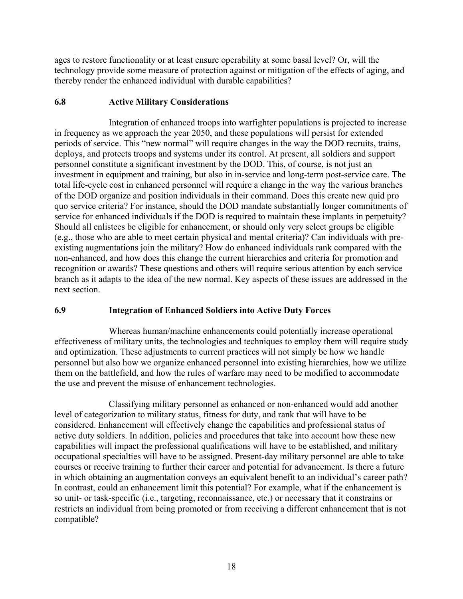ages to restore functionality or at least ensure operability at some basal level? Or, will the technology provide some measure of protection against or mitigation of the effects of aging, and thereby render the enhanced individual with durable capabilities?

## **6.8 Active Military Considerations**

 Integration of enhanced troops into warfighter populations is projected to increase in frequency as we approach the year 2050, and these populations will persist for extended periods of service. This "new normal" will require changes in the way the DOD recruits, trains, deploys, and protects troops and systems under its control. At present, all soldiers and support personnel constitute a significant investment by the DOD. This, of course, is not just an investment in equipment and training, but also in in-service and long-term post-service care. The total life-cycle cost in enhanced personnel will require a change in the way the various branches of the DOD organize and position individuals in their command. Does this create new quid pro quo service criteria? For instance, should the DOD mandate substantially longer commitments of service for enhanced individuals if the DOD is required to maintain these implants in perpetuity? Should all enlistees be eligible for enhancement, or should only very select groups be eligible (e.g., those who are able to meet certain physical and mental criteria)? Can individuals with preexisting augmentations join the military? How do enhanced individuals rank compared with the non-enhanced, and how does this change the current hierarchies and criteria for promotion and recognition or awards? These questions and others will require serious attention by each service branch as it adapts to the idea of the new normal. Key aspects of these issues are addressed in the next section.

## **6.9 Integration of Enhanced Soldiers into Active Duty Forces**

 Whereas human/machine enhancements could potentially increase operational effectiveness of military units, the technologies and techniques to employ them will require study and optimization. These adjustments to current practices will not simply be how we handle personnel but also how we organize enhanced personnel into existing hierarchies, how we utilize them on the battlefield, and how the rules of warfare may need to be modified to accommodate the use and prevent the misuse of enhancement technologies.

 Classifying military personnel as enhanced or non-enhanced would add another level of categorization to military status, fitness for duty, and rank that will have to be considered. Enhancement will effectively change the capabilities and professional status of active duty soldiers. In addition, policies and procedures that take into account how these new capabilities will impact the professional qualifications will have to be established, and military occupational specialties will have to be assigned. Present-day military personnel are able to take courses or receive training to further their career and potential for advancement. Is there a future in which obtaining an augmentation conveys an equivalent benefit to an individual's career path? In contrast, could an enhancement limit this potential? For example, what if the enhancement is so unit- or task-specific (i.e., targeting, reconnaissance, etc.) or necessary that it constrains or restricts an individual from being promoted or from receiving a different enhancement that is not compatible?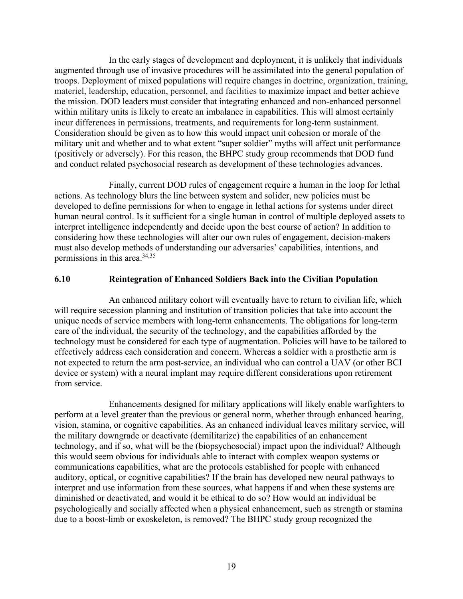In the early stages of development and deployment, it is unlikely that individuals augmented through use of invasive procedures will be assimilated into the general population of troops. Deployment of mixed populations will require changes in doctrine, organization, training, materiel, leadership, education, personnel, and facilities to maximize impact and better achieve the mission. DOD leaders must consider that integrating enhanced and non-enhanced personnel within military units is likely to create an imbalance in capabilities. This will almost certainly incur differences in permissions, treatments, and requirements for long-term sustainment. Consideration should be given as to how this would impact unit cohesion or morale of the military unit and whether and to what extent "super soldier" myths will affect unit performance (positively or adversely). For this reason, the BHPC study group recommends that DOD fund and conduct related psychosocial research as development of these technologies advances.

 Finally, current DOD rules of engagement require a human in the loop for lethal actions. As technology blurs the line between system and solider, new policies must be developed to define permissions for when to engage in lethal actions for systems under direct human neural control. Is it sufficient for a single human in control of multiple deployed assets to interpret intelligence independently and decide upon the best course of action? In addition to considering how these technologies will alter our own rules of engagement, decision-makers must also develop methods of understanding our adversaries' capabilities, intentions, and permissions in this area.34,35

## **6.10 Reintegration of Enhanced Soldiers Back into the Civilian Population**

 An enhanced military cohort will eventually have to return to civilian life, which will require secession planning and institution of transition policies that take into account the unique needs of service members with long-term enhancements. The obligations for long-term care of the individual, the security of the technology, and the capabilities afforded by the technology must be considered for each type of augmentation. Policies will have to be tailored to effectively address each consideration and concern. Whereas a soldier with a prosthetic arm is not expected to return the arm post-service, an individual who can control a UAV (or other BCI device or system) with a neural implant may require different considerations upon retirement from service.

 Enhancements designed for military applications will likely enable warfighters to perform at a level greater than the previous or general norm, whether through enhanced hearing, vision, stamina, or cognitive capabilities. As an enhanced individual leaves military service, will the military downgrade or deactivate (demilitarize) the capabilities of an enhancement technology, and if so, what will be the (biopsychosocial) impact upon the individual? Although this would seem obvious for individuals able to interact with complex weapon systems or communications capabilities, what are the protocols established for people with enhanced auditory, optical, or cognitive capabilities? If the brain has developed new neural pathways to interpret and use information from these sources, what happens if and when these systems are diminished or deactivated, and would it be ethical to do so? How would an individual be psychologically and socially affected when a physical enhancement, such as strength or stamina due to a boost-limb or exoskeleton, is removed? The BHPC study group recognized the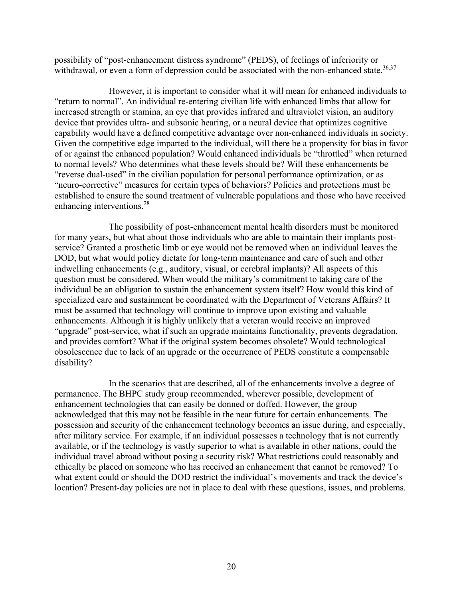possibility of "post-enhancement distress syndrome" (PEDS), of feelings of inferiority or withdrawal, or even a form of depression could be associated with the non-enhanced state.<sup>36,37</sup>

 However, it is important to consider what it will mean for enhanced individuals to "return to normal". An individual re-entering civilian life with enhanced limbs that allow for increased strength or stamina, an eye that provides infrared and ultraviolet vision, an auditory device that provides ultra- and subsonic hearing, or a neural device that optimizes cognitive capability would have a defined competitive advantage over non-enhanced individuals in society. Given the competitive edge imparted to the individual, will there be a propensity for bias in favor of or against the enhanced population? Would enhanced individuals be "throttled" when returned to normal levels? Who determines what these levels should be? Will these enhancements be "reverse dual-used" in the civilian population for personal performance optimization, or as "neuro-corrective" measures for certain types of behaviors? Policies and protections must be established to ensure the sound treatment of vulnerable populations and those who have received enhancing interventions.<sup>28</sup>

 The possibility of post-enhancement mental health disorders must be monitored for many years, but what about those individuals who are able to maintain their implants postservice? Granted a prosthetic limb or eye would not be removed when an individual leaves the DOD, but what would policy dictate for long-term maintenance and care of such and other indwelling enhancements (e.g., auditory, visual, or cerebral implants)? All aspects of this question must be considered. When would the military's commitment to taking care of the individual be an obligation to sustain the enhancement system itself? How would this kind of specialized care and sustainment be coordinated with the Department of Veterans Affairs? It must be assumed that technology will continue to improve upon existing and valuable enhancements. Although it is highly unlikely that a veteran would receive an improved "upgrade" post-service, what if such an upgrade maintains functionality, prevents degradation, and provides comfort? What if the original system becomes obsolete? Would technological obsolescence due to lack of an upgrade or the occurrence of PEDS constitute a compensable disability?

 In the scenarios that are described, all of the enhancements involve a degree of permanence. The BHPC study group recommended, wherever possible, development of enhancement technologies that can easily be donned or doffed. However, the group acknowledged that this may not be feasible in the near future for certain enhancements. The possession and security of the enhancement technology becomes an issue during, and especially, after military service. For example, if an individual possesses a technology that is not currently available, or if the technology is vastly superior to what is available in other nations, could the individual travel abroad without posing a security risk? What restrictions could reasonably and ethically be placed on someone who has received an enhancement that cannot be removed? To what extent could or should the DOD restrict the individual's movements and track the device's location? Present-day policies are not in place to deal with these questions, issues, and problems.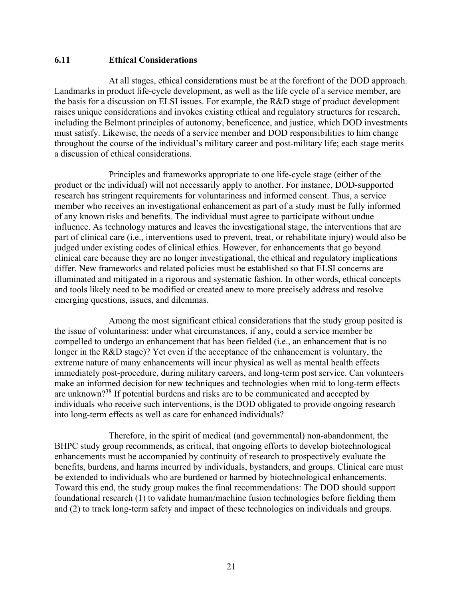#### **6.11 Ethical Considerations**

 At all stages, ethical considerations must be at the forefront of the DOD approach. Landmarks in product life-cycle development, as well as the life cycle of a service member, are the basis for a discussion on ELSI issues. For example, the R&D stage of product development raises unique considerations and invokes existing ethical and regulatory structures for research, including the Belmont principles of autonomy, beneficence, and justice, which DOD investments must satisfy. Likewise, the needs of a service member and DOD responsibilities to him change throughout the course of the individual's military career and post-military life; each stage merits a discussion of ethical considerations.

 Principles and frameworks appropriate to one life-cycle stage (either of the product or the individual) will not necessarily apply to another. For instance, DOD-supported research has stringent requirements for voluntariness and informed consent. Thus, a service member who receives an investigational enhancement as part of a study must be fully informed of any known risks and benefits. The individual must agree to participate without undue influence. As technology matures and leaves the investigational stage, the interventions that are part of clinical care (i.e., interventions used to prevent, treat, or rehabilitate injury) would also be judged under existing codes of clinical ethics. However, for enhancements that go beyond clinical care because they are no longer investigational, the ethical and regulatory implications differ. New frameworks and related policies must be established so that ELSI concerns are illuminated and mitigated in a rigorous and systematic fashion. In other words, ethical concepts and tools likely need to be modified or created anew to more precisely address and resolve emerging questions, issues, and dilemmas.

 Among the most significant ethical considerations that the study group posited is the issue of voluntariness: under what circumstances, if any, could a service member be compelled to undergo an enhancement that has been fielded (i.e., an enhancement that is no longer in the R&D stage)? Yet even if the acceptance of the enhancement is voluntary, the extreme nature of many enhancements will incur physical as well as mental health effects immediately post-procedure, during military careers, and long-term post service. Can volunteers make an informed decision for new techniques and technologies when mid to long-term effects are unknown?<sup>38</sup> If potential burdens and risks are to be communicated and accepted by individuals who receive such interventions, is the DOD obligated to provide ongoing research into long-term effects as well as care for enhanced individuals?

 Therefore, in the spirit of medical (and governmental) non-abandonment, the BHPC study group recommends, as critical, that ongoing efforts to develop biotechnological enhancements must be accompanied by continuity of research to prospectively evaluate the benefits, burdens, and harms incurred by individuals, bystanders, and groups. Clinical care must be extended to individuals who are burdened or harmed by biotechnological enhancements. Toward this end, the study group makes the final recommendations: The DOD should support foundational research (1) to validate human/machine fusion technologies before fielding them and (2) to track long-term safety and impact of these technologies on individuals and groups.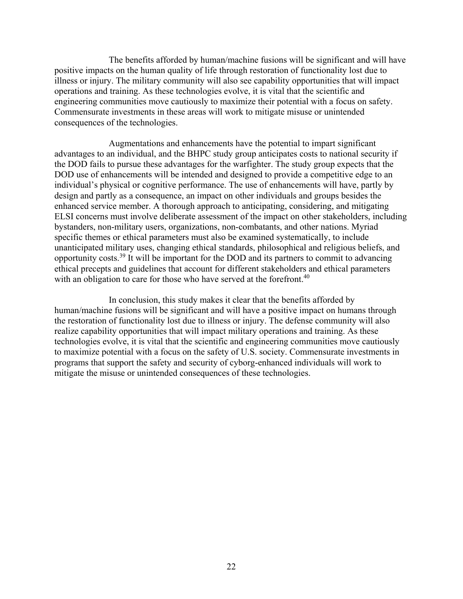The benefits afforded by human/machine fusions will be significant and will have positive impacts on the human quality of life through restoration of functionality lost due to illness or injury. The military community will also see capability opportunities that will impact operations and training. As these technologies evolve, it is vital that the scientific and engineering communities move cautiously to maximize their potential with a focus on safety. Commensurate investments in these areas will work to mitigate misuse or unintended consequences of the technologies.

 Augmentations and enhancements have the potential to impart significant advantages to an individual, and the BHPC study group anticipates costs to national security if the DOD fails to pursue these advantages for the warfighter. The study group expects that the DOD use of enhancements will be intended and designed to provide a competitive edge to an individual's physical or cognitive performance. The use of enhancements will have, partly by design and partly as a consequence, an impact on other individuals and groups besides the enhanced service member. A thorough approach to anticipating, considering, and mitigating ELSI concerns must involve deliberate assessment of the impact on other stakeholders, including bystanders, non-military users, organizations, non-combatants, and other nations. Myriad specific themes or ethical parameters must also be examined systematically, to include unanticipated military uses, changing ethical standards, philosophical and religious beliefs, and opportunity costs.39 It will be important for the DOD and its partners to commit to advancing ethical precepts and guidelines that account for different stakeholders and ethical parameters with an obligation to care for those who have served at the forefront.<sup>40</sup>

 In conclusion, this study makes it clear that the benefits afforded by human/machine fusions will be significant and will have a positive impact on humans through the restoration of functionality lost due to illness or injury. The defense community will also realize capability opportunities that will impact military operations and training. As these technologies evolve, it is vital that the scientific and engineering communities move cautiously to maximize potential with a focus on the safety of U.S. society. Commensurate investments in programs that support the safety and security of cyborg-enhanced individuals will work to mitigate the misuse or unintended consequences of these technologies.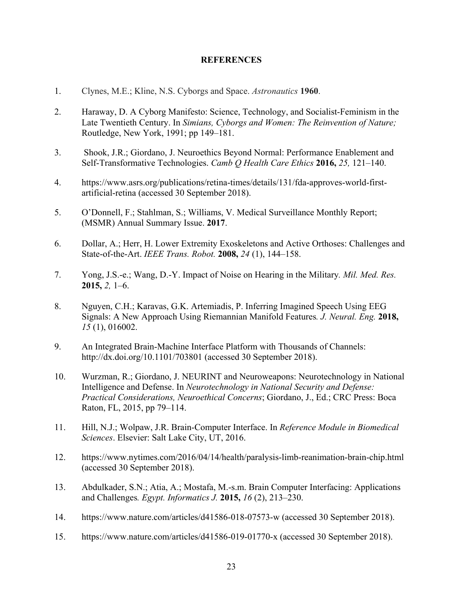## **REFERENCES**

- 1. Clynes, M.E.; Kline, N.S. Cyborgs and Space. *Astronautics* **1960**.
- 2. Haraway, D. A Cyborg Manifesto: Science, Technology, and Socialist-Feminism in the Late Twentieth Century. In *Simians, Cyborgs and Women: The Reinvention of Nature;*  Routledge, New York, 1991; pp 149–181.
- 3. Shook, J.R.; Giordano, J. Neuroethics Beyond Normal: Performance Enablement and Self-Transformative Technologies. *Camb Q Health Care Ethics* **2016,** *25,* 121–140.
- 4. https://www.asrs.org/publications/retina-times/details/131/fda-approves-world-firstartificial-retina (accessed 30 September 2018).
- 5. O'Donnell, F.; Stahlman, S.; Williams, V. Medical Surveillance Monthly Report; (MSMR) Annual Summary Issue. **2017**.
- 6. Dollar, A.; Herr, H. Lower Extremity Exoskeletons and Active Orthoses: Challenges and State-of-the-Art. *IEEE Trans. Robot.* **2008,** *24* (1), 144–158.
- 7. Yong, J.S.-e.; Wang, D.-Y. Impact of Noise on Hearing in the Military*. Mil. Med. Res.* **2015,** *2,* 1–6.
- 8. Nguyen, C.H.; Karavas, G.K. Artemiadis, P. Inferring Imagined Speech Using EEG Signals: A New Approach Using Riemannian Manifold Features*. J. Neural. Eng.* **2018,** *15* (1), 016002.
- 9. An Integrated Brain-Machine Interface Platform with Thousands of Channels: http://dx.doi.org/10.1101/703801 (accessed 30 September 2018).
- 10. Wurzman, R.; Giordano, J. NEURINT and Neuroweapons: Neurotechnology in National Intelligence and Defense. In *Neurotechnology in National Security and Defense: Practical Considerations, Neuroethical Concerns*; Giordano, J., Ed.; CRC Press: Boca Raton, FL, 2015, pp 79–114.
- 11. Hill, N.J.; Wolpaw, J.R. Brain-Computer Interface. In *Reference Module in Biomedical Sciences*. Elsevier: Salt Lake City, UT, 2016.
- 12. https://www.nytimes.com/2016/04/14/health/paralysis-limb-reanimation-brain-chip.html (accessed 30 September 2018).
- 13. Abdulkader, S.N.; Atia, A.; Mostafa, M.-s.m. Brain Computer Interfacing: Applications and Challenges*. Egypt. Informatics J.* **2015,** *16* (2), 213–230.
- 14. https://www.nature.com/articles/d41586-018-07573-w (accessed 30 September 2018).
- 15. https://www.nature.com/articles/d41586-019-01770-x (accessed 30 September 2018).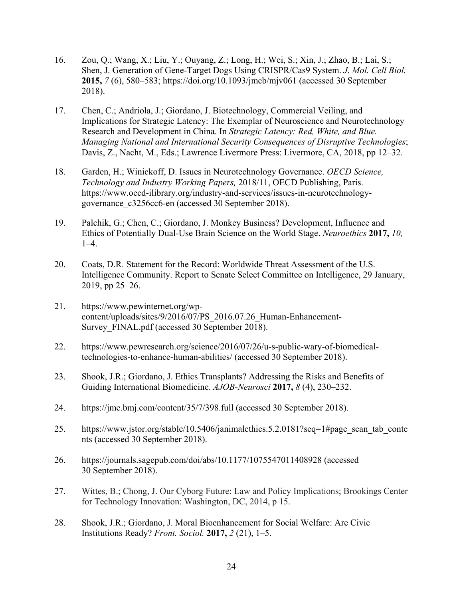- 16. Zou, Q.; Wang, X.; Liu, Y.; Ouyang, Z.; Long, H.; Wei, S.; Xin, J.; Zhao, B.; Lai, S.; Shen, J. Generation of Gene-Target Dogs Using CRISPR/Cas9 System. *J. Mol. Cell Biol.* **2015,** *7* (6), 580–583; https://doi.org/10.1093/jmcb/mjv061 (accessed 30 September 2018).
- 17. Chen, C.; Andriola, J.; Giordano, J. Biotechnology, Commercial Veiling, and Implications for Strategic Latency: The Exemplar of Neuroscience and Neurotechnology Research and Development in China. In *Strategic Latency: Red, White, and Blue. Managing National and International Security Consequences of Disruptive Technologies*; Davis, Z., Nacht, M., Eds.; Lawrence Livermore Press: Livermore, CA, 2018, pp 12–32.
- 18. Garden, H.; Winickoff, D. Issues in Neurotechnology Governance. *OECD Science, Technology and Industry Working Papers,* 2018/11, OECD Publishing, Paris. https://www.oecd-ilibrary.org/industry-and-services/issues-in-neurotechnologygovernance\_c3256cc6-en (accessed 30 September 2018).
- 19. Palchik, G.; Chen, C.; Giordano, J. Monkey Business? Development, Influence and Ethics of Potentially Dual-Use Brain Science on the World Stage. *Neuroethics* **2017,** *10,* 1–4.
- 20. Coats, D.R. Statement for the Record: Worldwide Threat Assessment of the U.S. Intelligence Community. Report to Senate Select Committee on Intelligence, 29 January, 2019, pp 25–26.
- 21. https://www.pewinternet.org/wpcontent/uploads/sites/9/2016/07/PS\_2016.07.26\_Human-Enhancement-Survey FINAL.pdf (accessed 30 September 2018).
- 22. https://www.pewresearch.org/science/2016/07/26/u-s-public-wary-of-biomedicaltechnologies-to-enhance-human-abilities/ (accessed 30 September 2018).
- 23. Shook, J.R.; Giordano, J. Ethics Transplants? Addressing the Risks and Benefits of Guiding International Biomedicine. *AJOB-Neurosci* **2017,** *8* (4), 230–232.
- 24. https://jme.bmj.com/content/35/7/398.full (accessed 30 September 2018).
- 25. https://www.jstor.org/stable/10.5406/janimalethics.5.2.0181?seq=1#page\_scan\_tab\_conte nts (accessed 30 September 2018).
- 26. https://journals.sagepub.com/doi/abs/10.1177/1075547011408928 (accessed 30 September 2018).
- 27. Wittes, B.; Chong, J. Our Cyborg Future: Law and Policy Implications; Brookings Center for Technology Innovation: Washington, DC, 2014, p 15.
- 28. Shook, J.R.; Giordano, J. Moral Bioenhancement for Social Welfare: Are Civic Institutions Ready? *Front. Sociol.* **2017,** *2* (21), 1–5.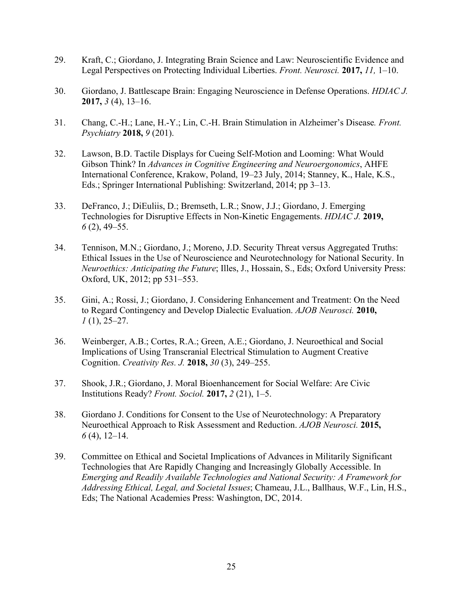- 29. Kraft, C.; Giordano, J. Integrating Brain Science and Law: Neuroscientific Evidence and Legal Perspectives on Protecting Individual Liberties. *Front. Neurosci.* **2017,** *11,* 1–10.
- 30. Giordano, J. Battlescape Brain: Engaging Neuroscience in Defense Operations. *HDIAC J.* **2017,** *3* (4), 13–16.
- 31. Chang, C.-H.; Lane, H.-Y.; Lin, C.-H. Brain Stimulation in Alzheimer's Disease*. Front. Psychiatry* **2018,** *9* (201).
- 32. Lawson, B.D. Tactile Displays for Cueing Self-Motion and Looming: What Would Gibson Think? In *Advances in Cognitive Engineering and Neuroergonomics*, AHFE International Conference, Krakow, Poland, 19–23 July, 2014; Stanney, K., Hale, K.S., Eds.; Springer International Publishing: Switzerland, 2014; pp 3–13.
- 33. DeFranco, J.; DiEuliis, D.; Bremseth, L.R.; Snow, J.J.; Giordano, J. Emerging Technologies for Disruptive Effects in Non-Kinetic Engagements. *HDIAC J.* **2019,** *6* (2), 49–55.
- 34. Tennison, M.N.; Giordano, J.; Moreno, J.D. Security Threat versus Aggregated Truths: Ethical Issues in the Use of Neuroscience and Neurotechnology for National Security. In *Neuroethics: Anticipating the Future*; Illes, J., Hossain, S., Eds; Oxford University Press: Oxford, UK, 2012; pp 531–553.
- 35. Gini, A.; Rossi, J.; Giordano, J. Considering Enhancement and Treatment: On the Need to Regard Contingency and Develop Dialectic Evaluation. *AJOB Neurosci.* **2010,**  *1* (1), 25–27.
- 36. Weinberger, A.B.; Cortes, R.A.; Green, A.E.; Giordano, J. Neuroethical and Social Implications of Using Transcranial Electrical Stimulation to Augment Creative Cognition. *Creativity Res. J.* **2018,** *30* (3), 249–255.
- 37. Shook, J.R.; Giordano, J. Moral Bioenhancement for Social Welfare: Are Civic Institutions Ready? *Front. Sociol.* **2017,** *2* (21), 1–5.
- 38. Giordano J. Conditions for Consent to the Use of Neurotechnology: A Preparatory Neuroethical Approach to Risk Assessment and Reduction. *AJOB Neurosci.* **2015,** *6* (4), 12–14.
- 39. Committee on Ethical and Societal Implications of Advances in Militarily Significant Technologies that Are Rapidly Changing and Increasingly Globally Accessible. In *Emerging and Readily Available Technologies and National Security: A Framework for Addressing Ethical, Legal, and Societal Issues*; Chameau, J.L., Ballhaus, W.F., Lin, H.S., Eds; The National Academies Press: Washington, DC, 2014.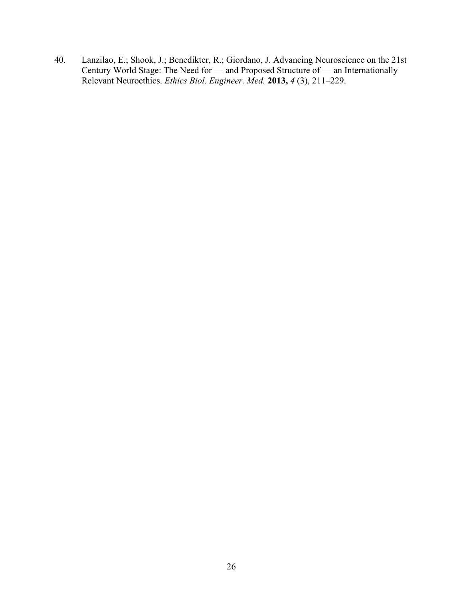40. Lanzilao, E.; Shook, J.; Benedikter, R.; Giordano, J. Advancing Neuroscience on the 21st Century World Stage: The Need for — and Proposed Structure of — an Internationally Relevant Neuroethics. *Ethics Biol. Engineer. Med.* **2013,** *4* (3), 211–229.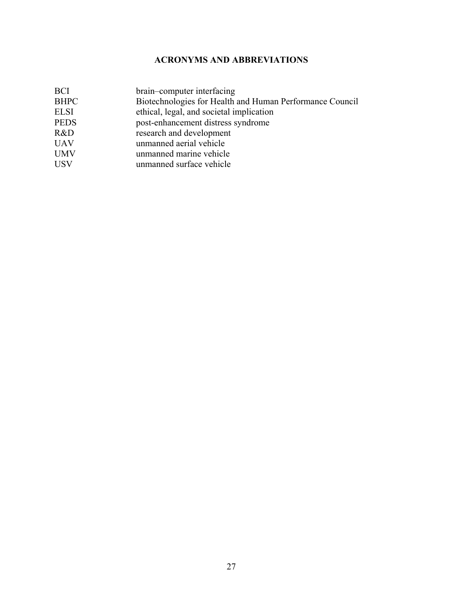## **ACRONYMS AND ABBREVIATIONS**

| <b>BCI</b>  | brain-computer interfacing                               |
|-------------|----------------------------------------------------------|
| <b>BHPC</b> | Biotechnologies for Health and Human Performance Council |
| <b>ELSI</b> | ethical, legal, and societal implication                 |
| <b>PEDS</b> | post-enhancement distress syndrome                       |
| R&D         | research and development                                 |
| <b>UAV</b>  | unmanned aerial vehicle                                  |
| <b>UMV</b>  | unmanned marine vehicle                                  |
| <b>USV</b>  | unmanned surface vehicle                                 |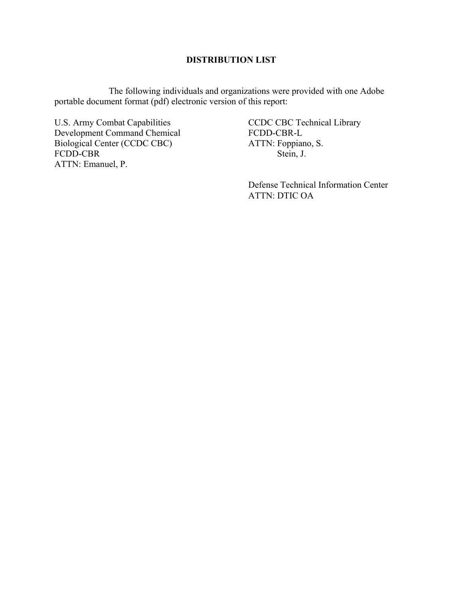## **DISTRIBUTION LIST**

The following individuals and organizations were provided with one Adobe portable document format (pdf) electronic version of this report:

U.S. Army Combat Capabilities Development Command Chemical Biological Center (CCDC CBC) FCDD-CBR ATTN: Emanuel, P.

CCDC CBC Technical Library FCDD-CBR-L ATTN: Foppiano, S. Stein, J.

Defense Technical Information Center ATTN: DTIC OA